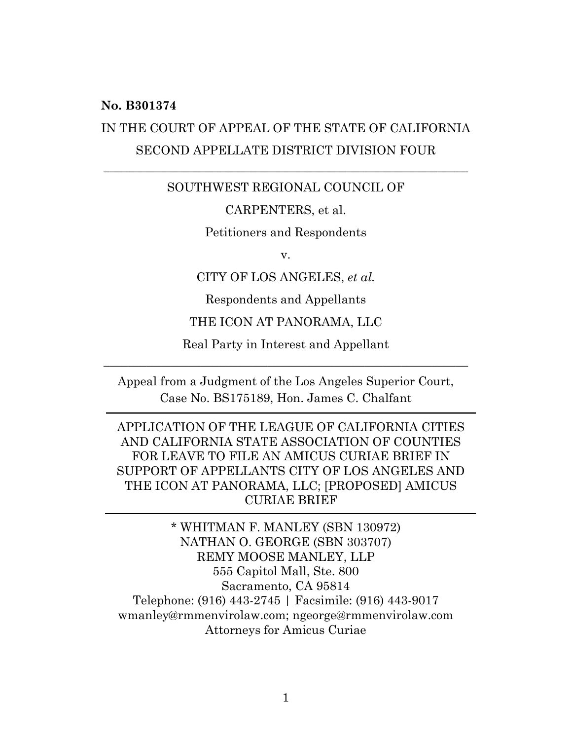#### **No. B301374**

## IN THE COURT OF APPEAL OF THE STATE OF CALIFORNIA SECOND APPELLATE DISTRICT DIVISION FOUR

#### SOUTHWEST REGIONAL COUNCIL OF

 $\overline{\phantom{a}}$  , and the contribution of the contribution of the contribution of the contribution of the contribution of the contribution of the contribution of the contribution of the contribution of the contribution of the

#### CARPENTERS, et al.

Petitioners and Respondents

v.

CITY OF LOS ANGELES, *et al.*

Respondents and Appellants

#### THE ICON AT PANORAMA, LLC

Real Party in Interest and Appellant \_\_\_\_\_\_\_\_\_\_\_\_\_\_\_\_\_\_\_\_\_\_\_\_\_\_\_\_\_\_\_\_\_\_\_\_\_\_\_\_\_\_\_\_\_\_\_\_\_\_\_\_\_\_\_\_\_\_\_\_

Appeal from a Judgment of the Los Angeles Superior Court, Case No. BS175189, Hon. James C. Chalfant

APPLICATION OF THE LEAGUE OF CALIFORNIA CITIES AND CALIFORNIA STATE ASSOCIATION OF COUNTIES FOR LEAVE TO FILE AN AMICUS CURIAE BRIEF IN SUPPORT OF APPELLANTS CITY OF LOS ANGELES AND THE ICON AT PANORAMA, LLC; [PROPOSED] AMICUS CURIAE BRIEF

\* WHITMAN F. MANLEY (SBN 130972) NATHAN O. GEORGE (SBN 303707) REMY MOOSE MANLEY, LLP 555 Capitol Mall, Ste. 800 Sacramento, CA 95814 Telephone: (916) 443-2745 | Facsimile: (916) 443-9017 wmanley@rmmenvirolaw.com; ngeorge@rmmenvirolaw.com Attorneys for Amicus Curiae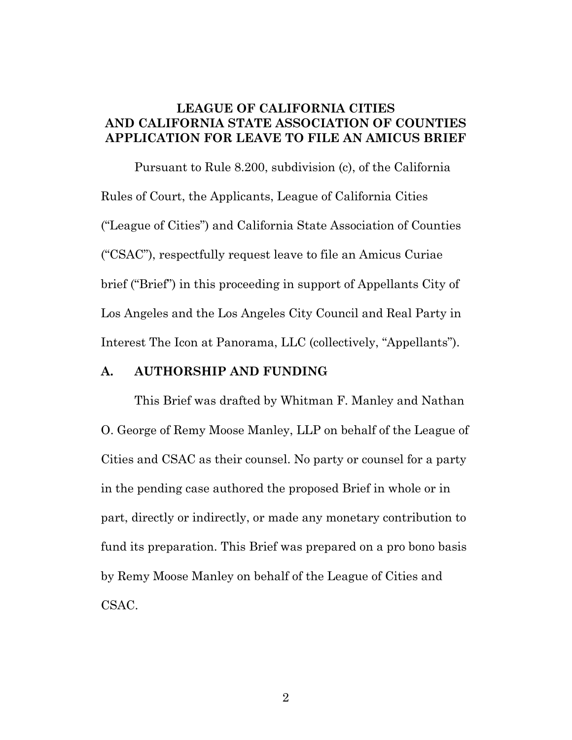#### **LEAGUE OF CALIFORNIA CITIES AND CALIFORNIA STATE ASSOCIATION OF COUNTIES APPLICATION FOR LEAVE TO FILE AN AMICUS BRIEF**

Pursuant to Rule 8.200, subdivision (c), of the California Rules of Court, the Applicants, League of California Cities ("League of Cities") and California State Association of Counties ("CSAC"), respectfully request leave to file an Amicus Curiae brief ("Brief") in this proceeding in support of Appellants City of Los Angeles and the Los Angeles City Council and Real Party in Interest The Icon at Panorama, LLC (collectively, "Appellants").

#### **A. AUTHORSHIP AND FUNDING**

This Brief was drafted by Whitman F. Manley and Nathan O. George of Remy Moose Manley, LLP on behalf of the League of Cities and CSAC as their counsel. No party or counsel for a party in the pending case authored the proposed Brief in whole or in part, directly or indirectly, or made any monetary contribution to fund its preparation. This Brief was prepared on a pro bono basis by Remy Moose Manley on behalf of the League of Cities and CSAC.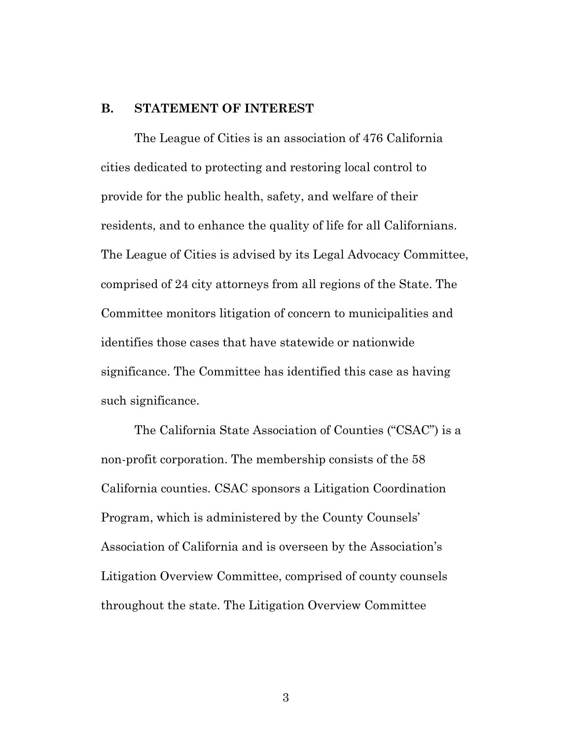#### **B. STATEMENT OF INTEREST**

The League of Cities is an association of 476 California cities dedicated to protecting and restoring local control to provide for the public health, safety, and welfare of their residents, and to enhance the quality of life for all Californians. The League of Cities is advised by its Legal Advocacy Committee, comprised of 24 city attorneys from all regions of the State. The Committee monitors litigation of concern to municipalities and identifies those cases that have statewide or nationwide significance. The Committee has identified this case as having such significance.

The California State Association of Counties ("CSAC") is a non-profit corporation. The membership consists of the 58 California counties. CSAC sponsors a Litigation Coordination Program, which is administered by the County Counsels' Association of California and is overseen by the Association's Litigation Overview Committee, comprised of county counsels throughout the state. The Litigation Overview Committee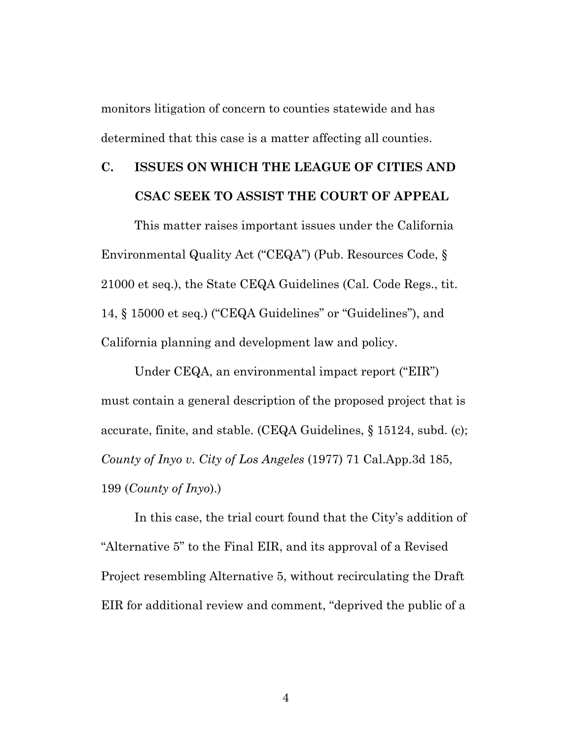monitors litigation of concern to counties statewide and has determined that this case is a matter affecting all counties.

## **C. ISSUES ON WHICH THE LEAGUE OF CITIES AND CSAC SEEK TO ASSIST THE COURT OF APPEAL**

This matter raises important issues under the California Environmental Quality Act ("CEQA") (Pub. Resources Code, § 21000 et seq.), the State CEQA Guidelines (Cal. Code Regs., tit. 14, § 15000 et seq.) ("CEQA Guidelines" or "Guidelines"), and California planning and development law and policy.

Under CEQA, an environmental impact report ("EIR") must contain a general description of the proposed project that is accurate, finite, and stable. (CEQA Guidelines, § 15124, subd. (c); *County of Inyo v. City of Los Angeles* (1977) 71 Cal.App.3d 185, 199 (*County of Inyo*).)

In this case, the trial court found that the City's addition of "Alternative 5" to the Final EIR, and its approval of a Revised Project resembling Alternative 5, without recirculating the Draft EIR for additional review and comment, "deprived the public of a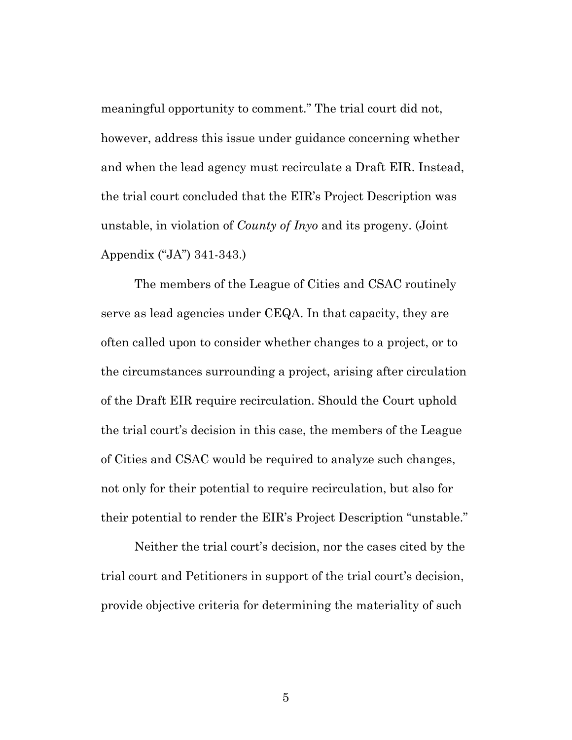meaningful opportunity to comment." The trial court did not, however, address this issue under guidance concerning whether and when the lead agency must recirculate a Draft EIR. Instead, the trial court concluded that the EIR's Project Description was unstable, in violation of *County of Inyo* and its progeny. (Joint Appendix ("JA") 341-343.)

The members of the League of Cities and CSAC routinely serve as lead agencies under CEQA. In that capacity, they are often called upon to consider whether changes to a project, or to the circumstances surrounding a project, arising after circulation of the Draft EIR require recirculation. Should the Court uphold the trial court's decision in this case, the members of the League of Cities and CSAC would be required to analyze such changes, not only for their potential to require recirculation, but also for their potential to render the EIR's Project Description "unstable."

Neither the trial court's decision, nor the cases cited by the trial court and Petitioners in support of the trial court's decision, provide objective criteria for determining the materiality of such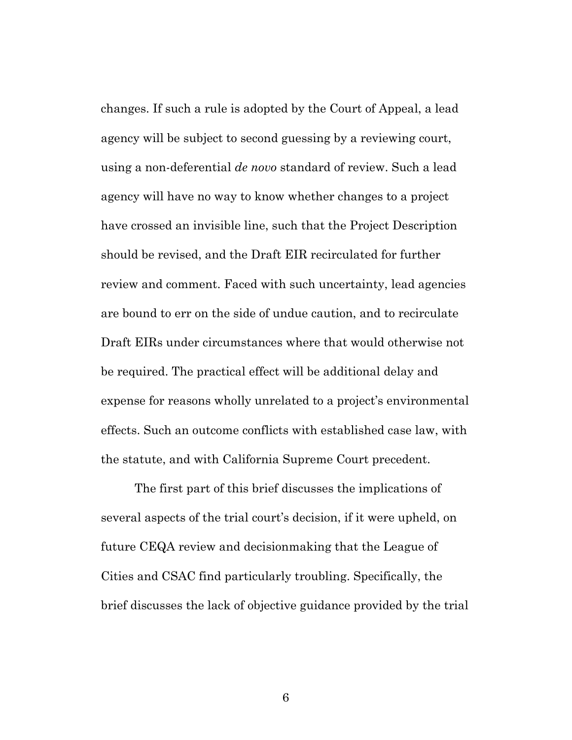changes. If such a rule is adopted by the Court of Appeal, a lead agency will be subject to second guessing by a reviewing court, using a non-deferential *de novo* standard of review. Such a lead agency will have no way to know whether changes to a project have crossed an invisible line, such that the Project Description should be revised, and the Draft EIR recirculated for further review and comment. Faced with such uncertainty, lead agencies are bound to err on the side of undue caution, and to recirculate Draft EIRs under circumstances where that would otherwise not be required. The practical effect will be additional delay and expense for reasons wholly unrelated to a project's environmental effects. Such an outcome conflicts with established case law, with the statute, and with California Supreme Court precedent.

The first part of this brief discusses the implications of several aspects of the trial court's decision, if it were upheld, on future CEQA review and decisionmaking that the League of Cities and CSAC find particularly troubling. Specifically, the brief discusses the lack of objective guidance provided by the trial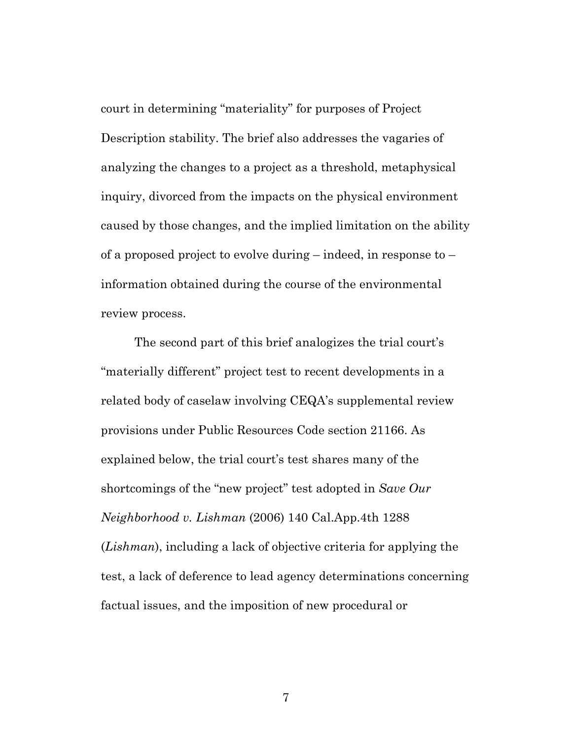court in determining "materiality" for purposes of Project Description stability. The brief also addresses the vagaries of analyzing the changes to a project as a threshold, metaphysical inquiry, divorced from the impacts on the physical environment caused by those changes, and the implied limitation on the ability of a proposed project to evolve during – indeed, in response to – information obtained during the course of the environmental review process.

The second part of this brief analogizes the trial court's "materially different" project test to recent developments in a related body of caselaw involving CEQA's supplemental review provisions under Public Resources Code section 21166. As explained below, the trial court's test shares many of the shortcomings of the "new project" test adopted in *Save Our Neighborhood v. Lishman* (2006) 140 Cal.App.4th 1288 (*Lishman*), including a lack of objective criteria for applying the test, a lack of deference to lead agency determinations concerning factual issues, and the imposition of new procedural or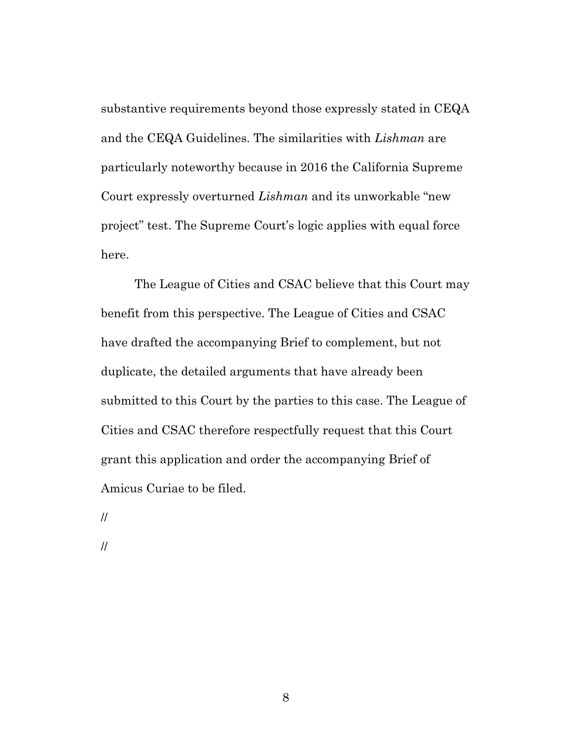substantive requirements beyond those expressly stated in CEQA and the CEQA Guidelines. The similarities with *Lishman* are particularly noteworthy because in 2016 the California Supreme Court expressly overturned *Lishman* and its unworkable "new project" test. The Supreme Court's logic applies with equal force here.

The League of Cities and CSAC believe that this Court may benefit from this perspective. The League of Cities and CSAC have drafted the accompanying Brief to complement, but not duplicate, the detailed arguments that have already been submitted to this Court by the parties to this case. The League of Cities and CSAC therefore respectfully request that this Court grant this application and order the accompanying Brief of Amicus Curiae to be filed.

//

//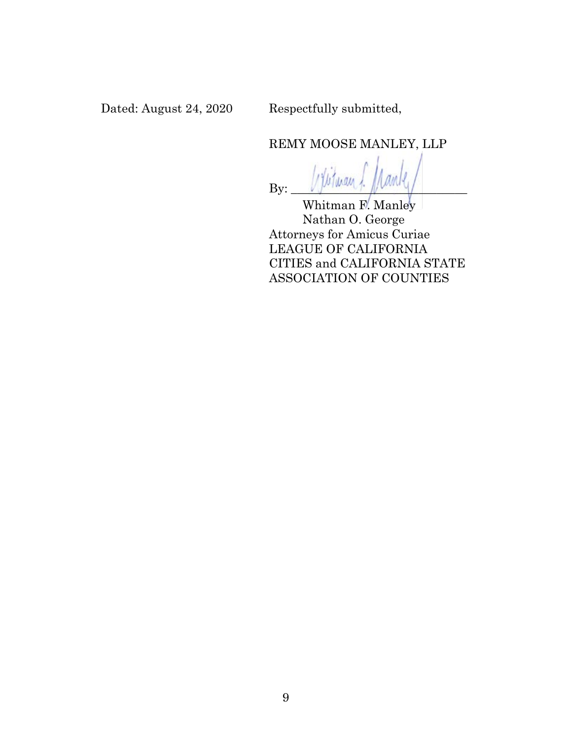Dated: August 24, 2020 Respectfully submitted,

REMY MOOSE MANLEY, LLP

 $By: \_\_\_\_\_\_\_\_\_\_\_\_\_\_\_$ 

Whitman F. Manley Nathan O. George Attorneys for Amicus Curiae LEAGUE OF CALIFORNIA CITIES and CALIFORNIA STATE ASSOCIATION OF COUNTIES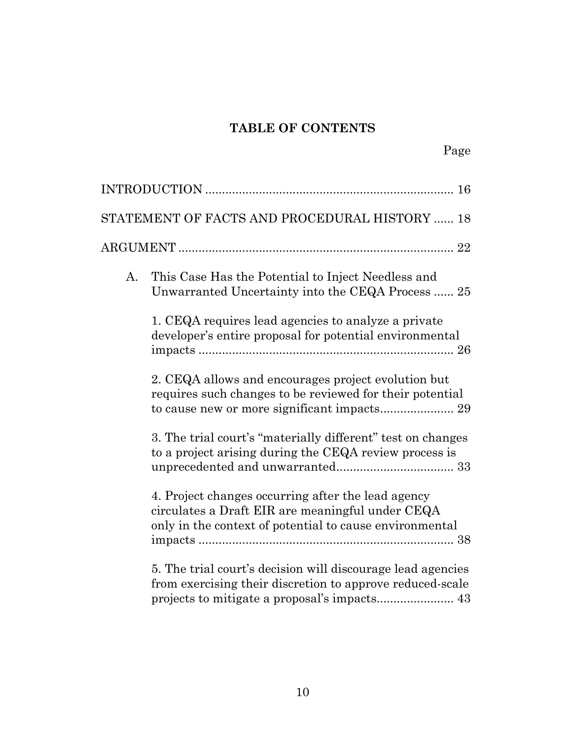### **TABLE OF CONTENTS**

|    | STATEMENT OF FACTS AND PROCEDURAL HISTORY  18                                                                                                                     |  |
|----|-------------------------------------------------------------------------------------------------------------------------------------------------------------------|--|
|    |                                                                                                                                                                   |  |
| A. | This Case Has the Potential to Inject Needless and<br>Unwarranted Uncertainty into the CEQA Process  25                                                           |  |
|    | 1. CEQA requires lead agencies to analyze a private<br>developer's entire proposal for potential environmental                                                    |  |
|    | 2. CEQA allows and encourages project evolution but<br>requires such changes to be reviewed for their potential                                                   |  |
|    | 3. The trial court's "materially different" test on changes<br>to a project arising during the CEQA review process is                                             |  |
|    | 4. Project changes occurring after the lead agency<br>circulates a Draft EIR are meaningful under CEQA<br>only in the context of potential to cause environmental |  |
|    | 5. The trial court's decision will discourage lead agencies<br>from exercising their discretion to approve reduced-scale                                          |  |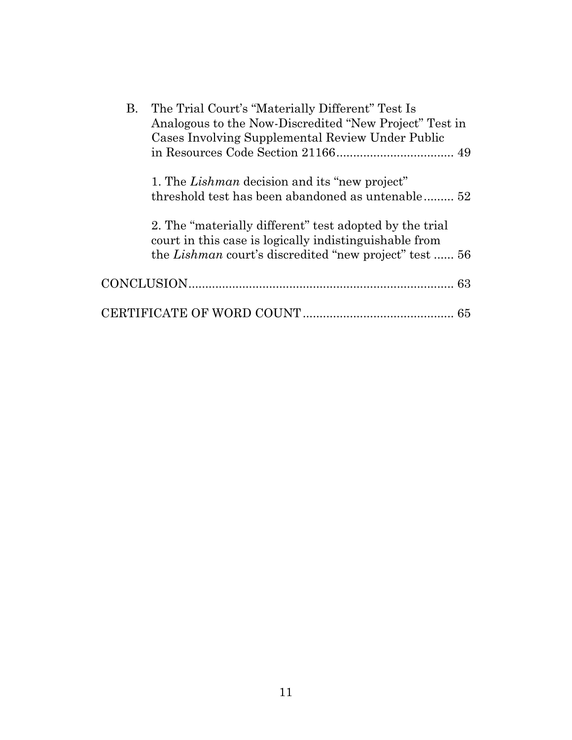| В. | The Trial Court's "Materially Different" Test Is              |  |
|----|---------------------------------------------------------------|--|
|    | Analogous to the Now-Discredited "New Project" Test in        |  |
|    | Cases Involving Supplemental Review Under Public              |  |
|    |                                                               |  |
|    |                                                               |  |
|    | 1. The <i>Lishman</i> decision and its "new project"          |  |
|    | threshold test has been abandoned as untenable 52             |  |
|    |                                                               |  |
|    | 2. The "materially different" test adopted by the trial       |  |
|    | court in this case is logically indistinguishable from        |  |
|    | the <i>Lishman</i> court's discredited "new project" test  56 |  |
|    |                                                               |  |
|    |                                                               |  |
|    | 65                                                            |  |
|    |                                                               |  |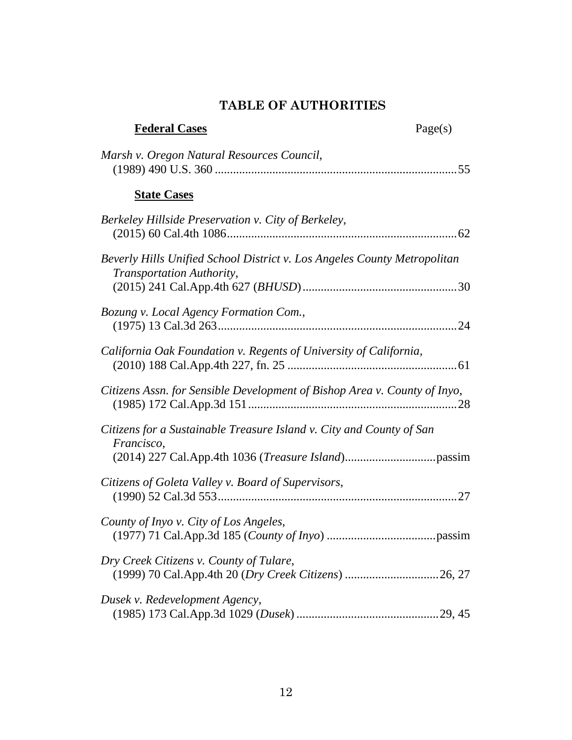### **TABLE OF AUTHORITIES**

| <b>Federal Cases</b>                                                                                  | Page(s) |
|-------------------------------------------------------------------------------------------------------|---------|
| Marsh v. Oregon Natural Resources Council,                                                            |         |
| <b>State Cases</b>                                                                                    |         |
| Berkeley Hillside Preservation v. City of Berkeley,                                                   |         |
| Beverly Hills Unified School District v. Los Angeles County Metropolitan<br>Transportation Authority, |         |
|                                                                                                       |         |
| Bozung v. Local Agency Formation Com.,                                                                |         |
| California Oak Foundation v. Regents of University of California,                                     |         |
| Citizens Assn. for Sensible Development of Bishop Area v. County of Inyo,                             |         |
| Citizens for a Sustainable Treasure Island v. City and County of San<br>Francisco,                    |         |
| Citizens of Goleta Valley v. Board of Supervisors,                                                    |         |
|                                                                                                       |         |
| County of Inyo v. City of Los Angeles,                                                                |         |
| Dry Creek Citizens v. County of Tulare,                                                               |         |
| Dusek v. Redevelopment Agency,                                                                        |         |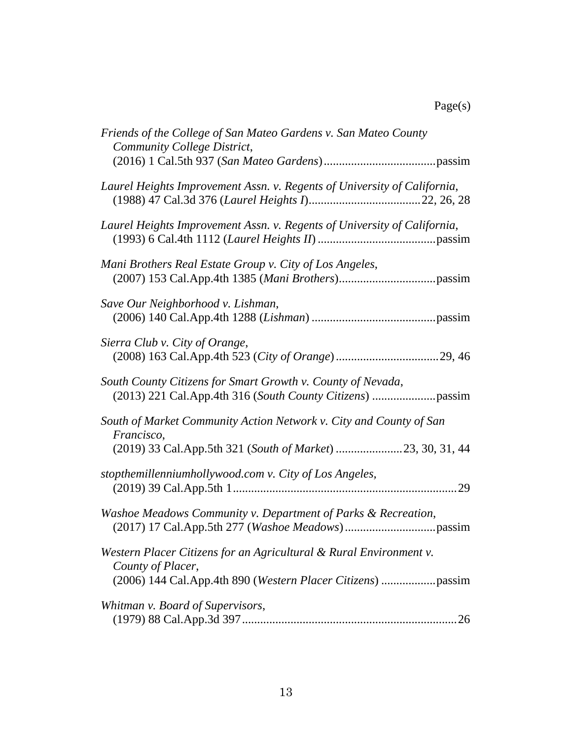## Page(s)

| Friends of the College of San Mateo Gardens v. San Mateo County<br>Community College District,                                                         |
|--------------------------------------------------------------------------------------------------------------------------------------------------------|
| Laurel Heights Improvement Assn. v. Regents of University of California,                                                                               |
| Laurel Heights Improvement Assn. v. Regents of University of California,                                                                               |
| Mani Brothers Real Estate Group v. City of Los Angeles,                                                                                                |
| Save Our Neighborhood v. Lishman,                                                                                                                      |
| Sierra Club v. City of Orange,                                                                                                                         |
| South County Citizens for Smart Growth v. County of Nevada,                                                                                            |
| South of Market Community Action Network v. City and County of San<br>Francisco,<br>(2019) 33 Cal.App.5th 321 (South of Market) 23, 30, 31, 44         |
| stopthemillenniumhollywood.com v. City of Los Angeles,                                                                                                 |
| Washoe Meadows Community v. Department of Parks & Recreation,                                                                                          |
| Western Placer Citizens for an Agricultural & Rural Environment v.<br>County of Placer,<br>(2006) 144 Cal.App.4th 890 (Western Placer Citizens) passim |
| Whitman v. Board of Supervisors,                                                                                                                       |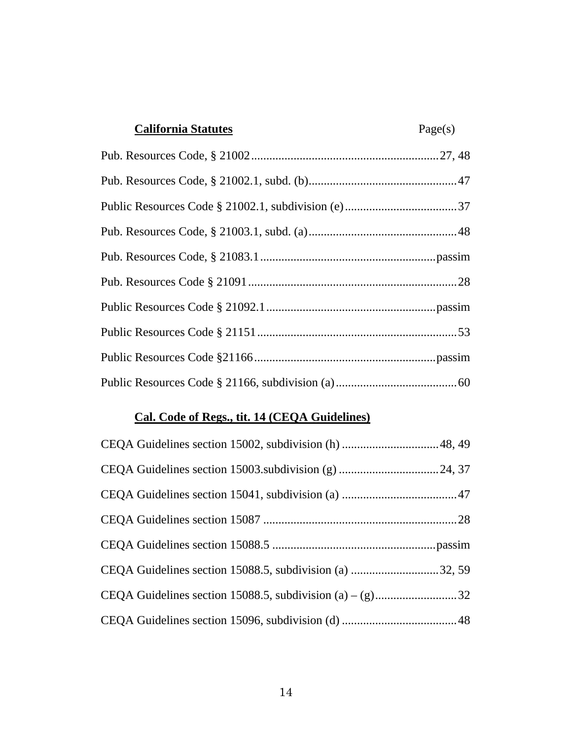| <b>California Statutes</b> | Page(s) |
|----------------------------|---------|
|                            |         |
|                            |         |
|                            |         |
|                            |         |
|                            |         |
|                            |         |
|                            |         |
|                            |         |
|                            |         |
|                            |         |

### **Cal. Code of Regs., tit. 14 (CEQA Guidelines)**

| CEQA Guidelines section 15088.5, subdivision (a) 32, 59 |  |
|---------------------------------------------------------|--|
|                                                         |  |
|                                                         |  |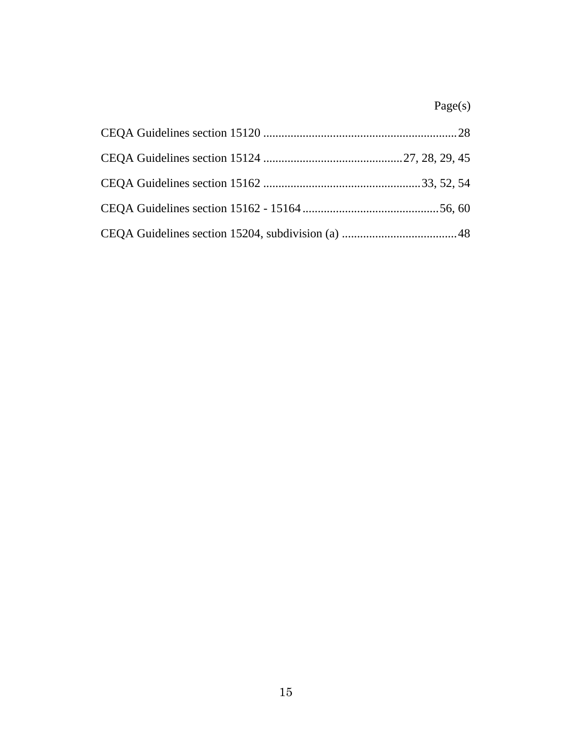## Page(s)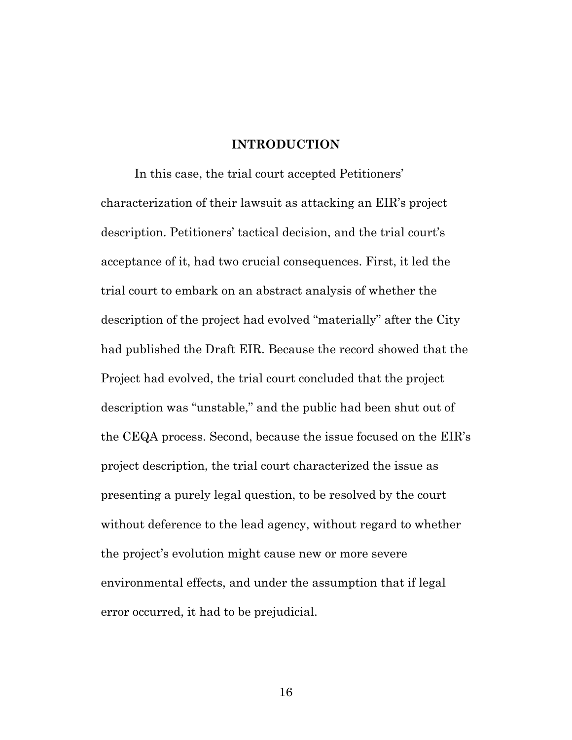#### **INTRODUCTION**

In this case, the trial court accepted Petitioners' characterization of their lawsuit as attacking an EIR's project description. Petitioners' tactical decision, and the trial court's acceptance of it, had two crucial consequences. First, it led the trial court to embark on an abstract analysis of whether the description of the project had evolved "materially" after the City had published the Draft EIR. Because the record showed that the Project had evolved, the trial court concluded that the project description was "unstable," and the public had been shut out of the CEQA process. Second, because the issue focused on the EIR's project description, the trial court characterized the issue as presenting a purely legal question, to be resolved by the court without deference to the lead agency, without regard to whether the project's evolution might cause new or more severe environmental effects, and under the assumption that if legal error occurred, it had to be prejudicial.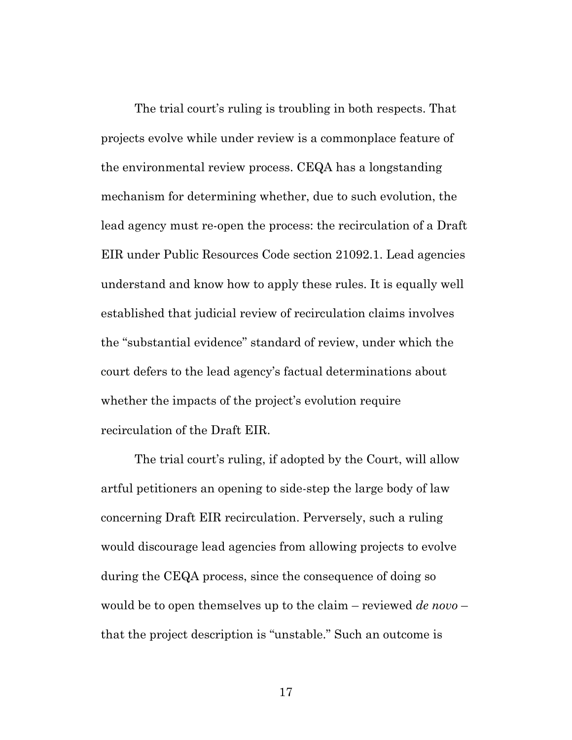The trial court's ruling is troubling in both respects. That projects evolve while under review is a commonplace feature of the environmental review process. CEQA has a longstanding mechanism for determining whether, due to such evolution, the lead agency must re-open the process: the recirculation of a Draft EIR under Public Resources Code section 21092.1. Lead agencies understand and know how to apply these rules. It is equally well established that judicial review of recirculation claims involves the "substantial evidence" standard of review, under which the court defers to the lead agency's factual determinations about whether the impacts of the project's evolution require recirculation of the Draft EIR.

The trial court's ruling, if adopted by the Court, will allow artful petitioners an opening to side-step the large body of law concerning Draft EIR recirculation. Perversely, such a ruling would discourage lead agencies from allowing projects to evolve during the CEQA process, since the consequence of doing so would be to open themselves up to the claim – reviewed *de novo* – that the project description is "unstable." Such an outcome is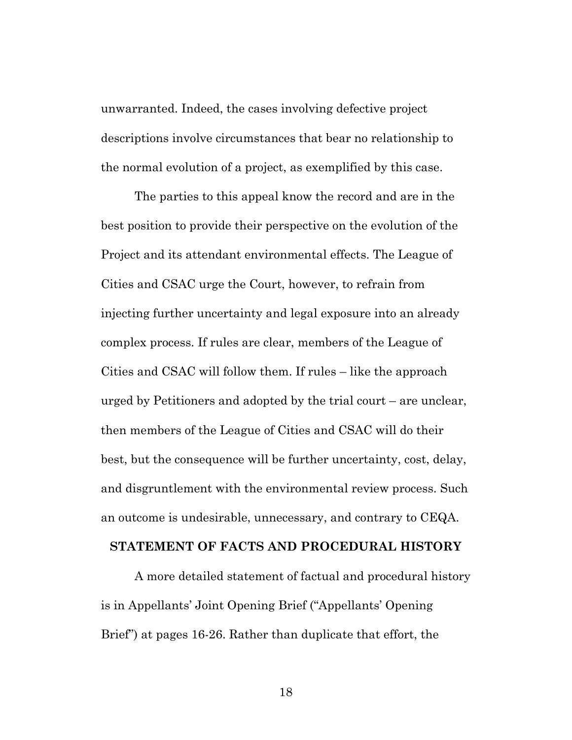unwarranted. Indeed, the cases involving defective project descriptions involve circumstances that bear no relationship to the normal evolution of a project, as exemplified by this case.

The parties to this appeal know the record and are in the best position to provide their perspective on the evolution of the Project and its attendant environmental effects. The League of Cities and CSAC urge the Court, however, to refrain from injecting further uncertainty and legal exposure into an already complex process. If rules are clear, members of the League of Cities and CSAC will follow them. If rules – like the approach urged by Petitioners and adopted by the trial court – are unclear, then members of the League of Cities and CSAC will do their best, but the consequence will be further uncertainty, cost, delay, and disgruntlement with the environmental review process. Such an outcome is undesirable, unnecessary, and contrary to CEQA.

#### **STATEMENT OF FACTS AND PROCEDURAL HISTORY**

A more detailed statement of factual and procedural history is in Appellants' Joint Opening Brief ("Appellants' Opening Brief") at pages 16-26. Rather than duplicate that effort, the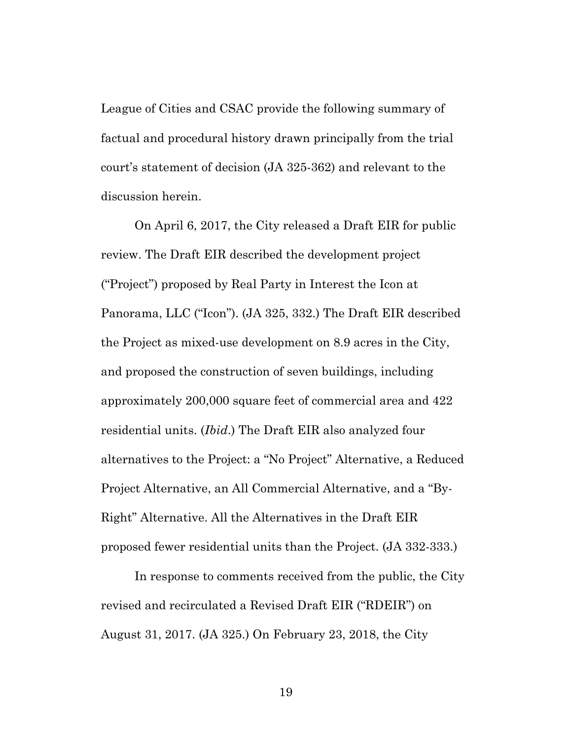League of Cities and CSAC provide the following summary of factual and procedural history drawn principally from the trial court's statement of decision (JA 325-362) and relevant to the discussion herein.

On April 6, 2017, the City released a Draft EIR for public review. The Draft EIR described the development project ("Project") proposed by Real Party in Interest the Icon at Panorama, LLC ("Icon"). (JA 325, 332.) The Draft EIR described the Project as mixed-use development on 8.9 acres in the City, and proposed the construction of seven buildings, including approximately 200,000 square feet of commercial area and 422 residential units. (*Ibid*.) The Draft EIR also analyzed four alternatives to the Project: a "No Project" Alternative, a Reduced Project Alternative, an All Commercial Alternative, and a "By-Right" Alternative. All the Alternatives in the Draft EIR proposed fewer residential units than the Project. (JA 332-333.)

In response to comments received from the public, the City revised and recirculated a Revised Draft EIR ("RDEIR") on August 31, 2017. (JA 325.) On February 23, 2018, the City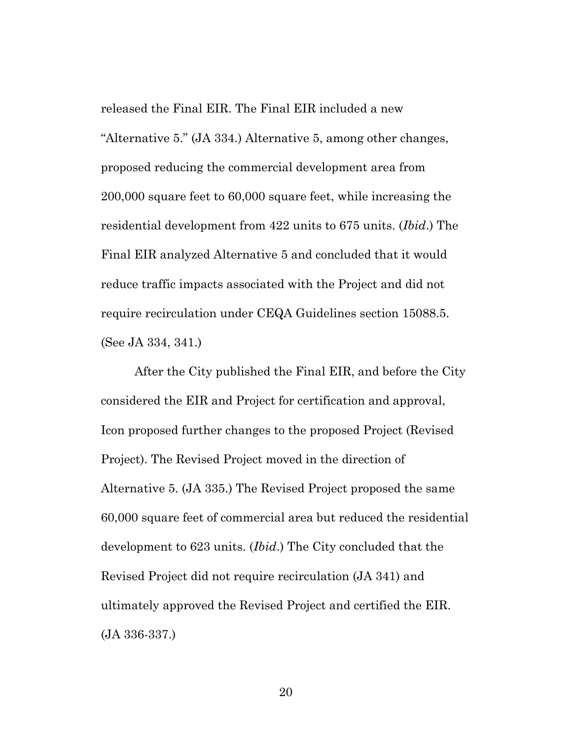released the Final EIR. The Final EIR included a new "Alternative 5." (JA 334.) Alternative 5, among other changes, proposed reducing the commercial development area from 200,000 square feet to 60,000 square feet, while increasing the residential development from 422 units to 675 units. (*Ibid*.) The Final EIR analyzed Alternative 5 and concluded that it would reduce traffic impacts associated with the Project and did not require recirculation under CEQA Guidelines section 15088.5. (See JA 334, 341.)

After the City published the Final EIR, and before the City considered the EIR and Project for certification and approval, Icon proposed further changes to the proposed Project (Revised Project). The Revised Project moved in the direction of Alternative 5. (JA 335.) The Revised Project proposed the same 60,000 square feet of commercial area but reduced the residential development to 623 units. (*Ibid*.) The City concluded that the Revised Project did not require recirculation (JA 341) and ultimately approved the Revised Project and certified the EIR. (JA 336-337.)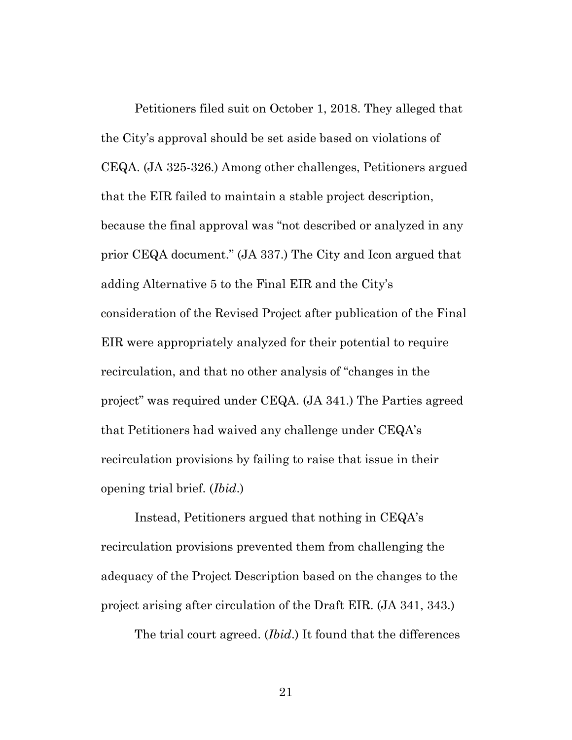Petitioners filed suit on October 1, 2018. They alleged that the City's approval should be set aside based on violations of CEQA. (JA 325-326.) Among other challenges, Petitioners argued that the EIR failed to maintain a stable project description, because the final approval was "not described or analyzed in any prior CEQA document." (JA 337.) The City and Icon argued that adding Alternative 5 to the Final EIR and the City's consideration of the Revised Project after publication of the Final EIR were appropriately analyzed for their potential to require recirculation, and that no other analysis of "changes in the project" was required under CEQA. (JA 341.) The Parties agreed that Petitioners had waived any challenge under CEQA's recirculation provisions by failing to raise that issue in their opening trial brief. (*Ibid*.)

Instead, Petitioners argued that nothing in CEQA's recirculation provisions prevented them from challenging the adequacy of the Project Description based on the changes to the project arising after circulation of the Draft EIR. (JA 341, 343.)

The trial court agreed. (*Ibid*.) It found that the differences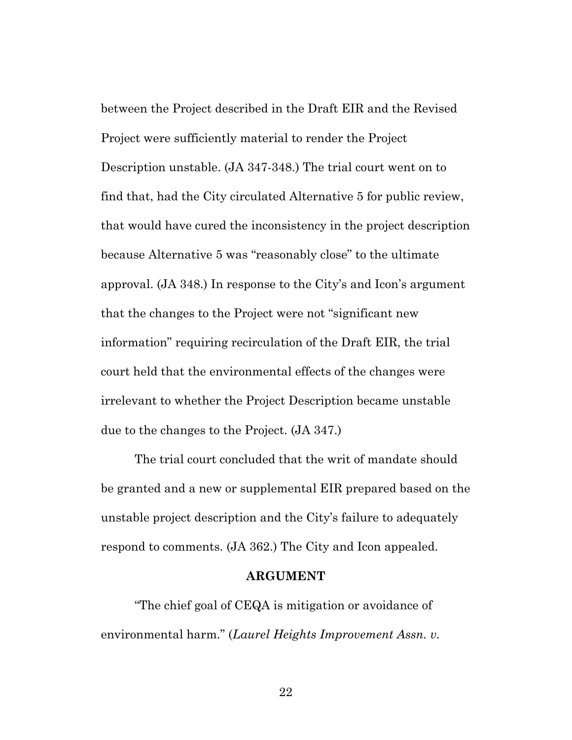between the Project described in the Draft EIR and the Revised Project were sufficiently material to render the Project Description unstable. (JA 347-348.) The trial court went on to find that, had the City circulated Alternative 5 for public review, that would have cured the inconsistency in the project description because Alternative 5 was "reasonably close" to the ultimate approval. (JA 348.) In response to the City's and Icon's argument that the changes to the Project were not "significant new information" requiring recirculation of the Draft EIR, the trial court held that the environmental effects of the changes were irrelevant to whether the Project Description became unstable due to the changes to the Project. (JA 347.)

The trial court concluded that the writ of mandate should be granted and a new or supplemental EIR prepared based on the unstable project description and the City's failure to adequately respond to comments. (JA 362.) The City and Icon appealed.

#### **ARGUMENT**

"The chief goal of CEQA is mitigation or avoidance of environmental harm." (*Laurel Heights Improvement Assn. v.*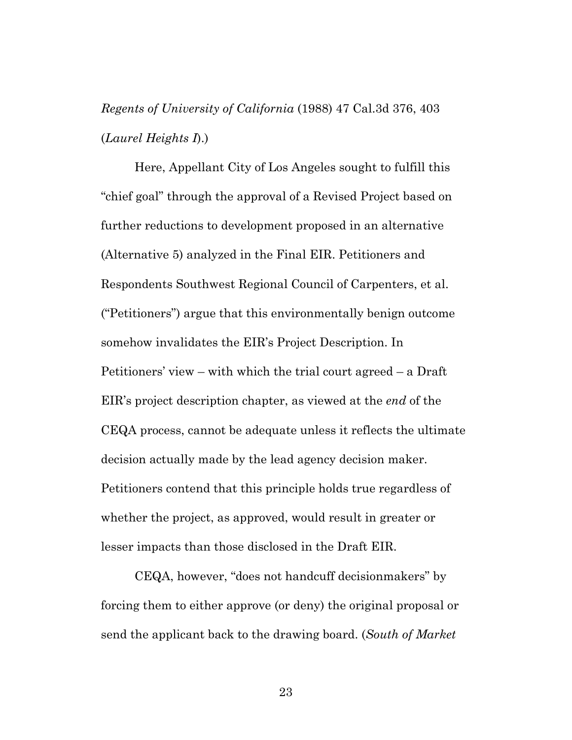## *Regents of University of California* (1988) 47 Cal.3d 376, 403 (*Laurel Heights I*).)

Here, Appellant City of Los Angeles sought to fulfill this "chief goal" through the approval of a Revised Project based on further reductions to development proposed in an alternative (Alternative 5) analyzed in the Final EIR. Petitioners and Respondents Southwest Regional Council of Carpenters, et al. ("Petitioners") argue that this environmentally benign outcome somehow invalidates the EIR's Project Description. In Petitioners' view – with which the trial court agreed – a Draft EIR's project description chapter, as viewed at the *end* of the CEQA process, cannot be adequate unless it reflects the ultimate decision actually made by the lead agency decision maker. Petitioners contend that this principle holds true regardless of whether the project, as approved, would result in greater or lesser impacts than those disclosed in the Draft EIR.

CEQA, however, "does not handcuff decisionmakers" by forcing them to either approve (or deny) the original proposal or send the applicant back to the drawing board. (*South of Market*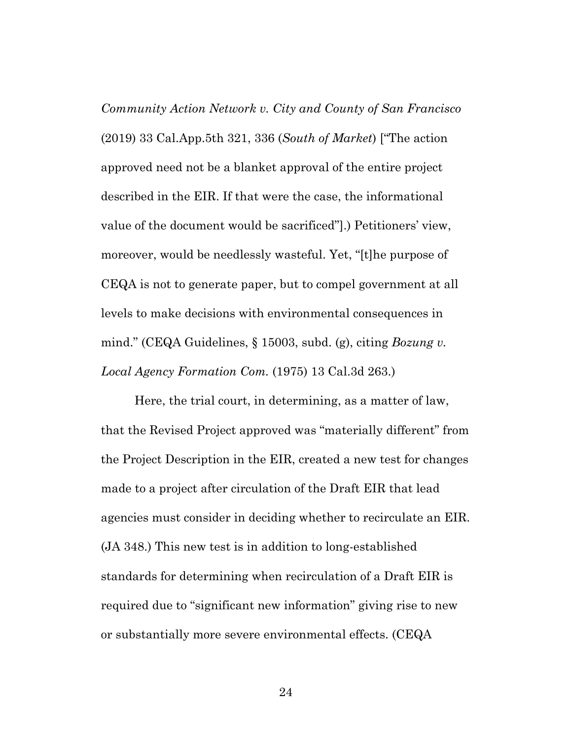*Community Action Network v. City and County of San Francisco* (2019) 33 Cal.App.5th 321, 336 (*South of Market*) ["The action approved need not be a blanket approval of the entire project described in the EIR. If that were the case, the informational value of the document would be sacrificed"].) Petitioners' view, moreover, would be needlessly wasteful. Yet, "[t]he purpose of CEQA is not to generate paper, but to compel government at all levels to make decisions with environmental consequences in mind." (CEQA Guidelines, § 15003, subd. (g), citing *Bozung v. Local Agency Formation Com.* (1975) 13 Cal.3d 263.)

Here, the trial court, in determining, as a matter of law, that the Revised Project approved was "materially different" from the Project Description in the EIR, created a new test for changes made to a project after circulation of the Draft EIR that lead agencies must consider in deciding whether to recirculate an EIR. (JA 348.) This new test is in addition to long-established standards for determining when recirculation of a Draft EIR is required due to "significant new information" giving rise to new or substantially more severe environmental effects. (CEQA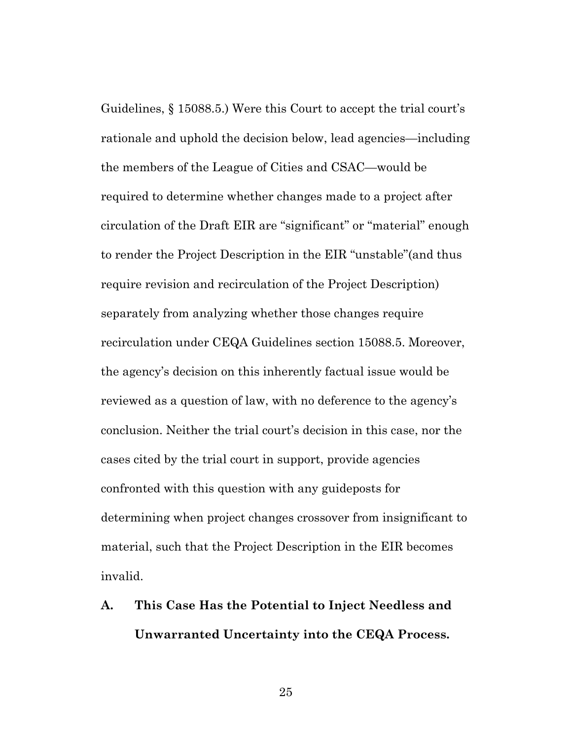Guidelines, § 15088.5.) Were this Court to accept the trial court's rationale and uphold the decision below, lead agencies—including the members of the League of Cities and CSAC—would be required to determine whether changes made to a project after circulation of the Draft EIR are "significant" or "material" enough to render the Project Description in the EIR "unstable"(and thus require revision and recirculation of the Project Description) separately from analyzing whether those changes require recirculation under CEQA Guidelines section 15088.5. Moreover, the agency's decision on this inherently factual issue would be reviewed as a question of law, with no deference to the agency's conclusion. Neither the trial court's decision in this case, nor the cases cited by the trial court in support, provide agencies confronted with this question with any guideposts for determining when project changes crossover from insignificant to material, such that the Project Description in the EIR becomes invalid.

**A. This Case Has the Potential to Inject Needless and Unwarranted Uncertainty into the CEQA Process.**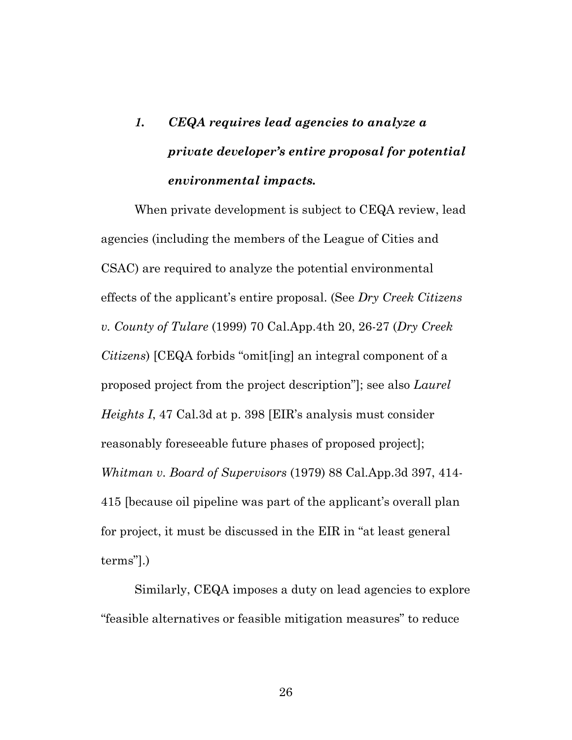# *1. CEQA requires lead agencies to analyze a private developer's entire proposal for potential environmental impacts.*

When private development is subject to CEQA review, lead agencies (including the members of the League of Cities and CSAC) are required to analyze the potential environmental effects of the applicant's entire proposal. (See *Dry Creek Citizens v. County of Tulare* (1999) 70 Cal.App.4th 20, 26-27 (*Dry Creek Citizens*) [CEQA forbids "omit[ing] an integral component of a proposed project from the project description"]; see also *Laurel Heights I*, 47 Cal.3d at p. 398 [EIR's analysis must consider reasonably foreseeable future phases of proposed project]; *Whitman v. Board of Supervisors* (1979) 88 Cal.App.3d 397, 414- 415 [because oil pipeline was part of the applicant's overall plan for project, it must be discussed in the EIR in "at least general terms"].)

Similarly, CEQA imposes a duty on lead agencies to explore "feasible alternatives or feasible mitigation measures" to reduce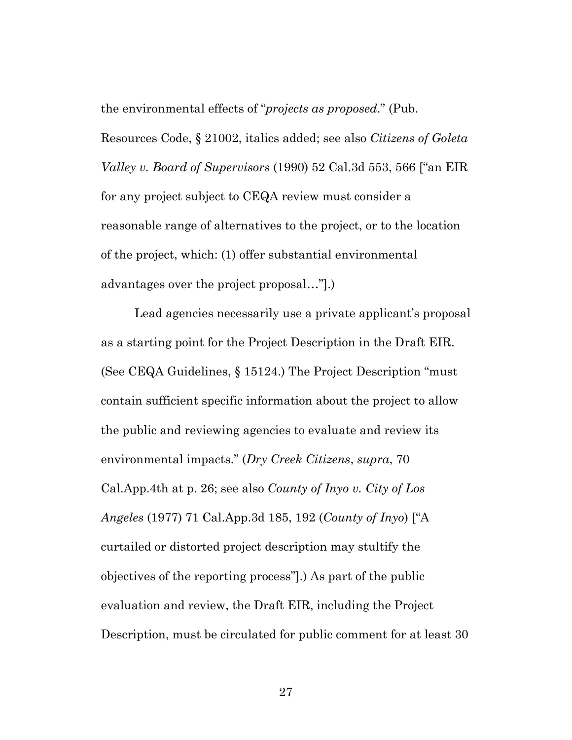the environmental effects of "*projects as proposed*." (Pub.

Resources Code, § 21002, italics added; see also *Citizens of Goleta Valley v. Board of Supervisors* (1990) 52 Cal.3d 553, 566 ["an EIR for any project subject to CEQA review must consider a reasonable range of alternatives to the project, or to the location of the project, which: (1) offer substantial environmental advantages over the project proposal…"].)

Lead agencies necessarily use a private applicant's proposal as a starting point for the Project Description in the Draft EIR. (See CEQA Guidelines, § 15124.) The Project Description "must contain sufficient specific information about the project to allow the public and reviewing agencies to evaluate and review its environmental impacts." (*Dry Creek Citizens*, *supra*, 70 Cal.App.4th at p. 26; see also *County of Inyo v. City of Los Angeles* (1977) 71 Cal.App.3d 185, 192 (*County of Inyo*) ["A curtailed or distorted project description may stultify the objectives of the reporting process"].) As part of the public evaluation and review, the Draft EIR, including the Project Description, must be circulated for public comment for at least 30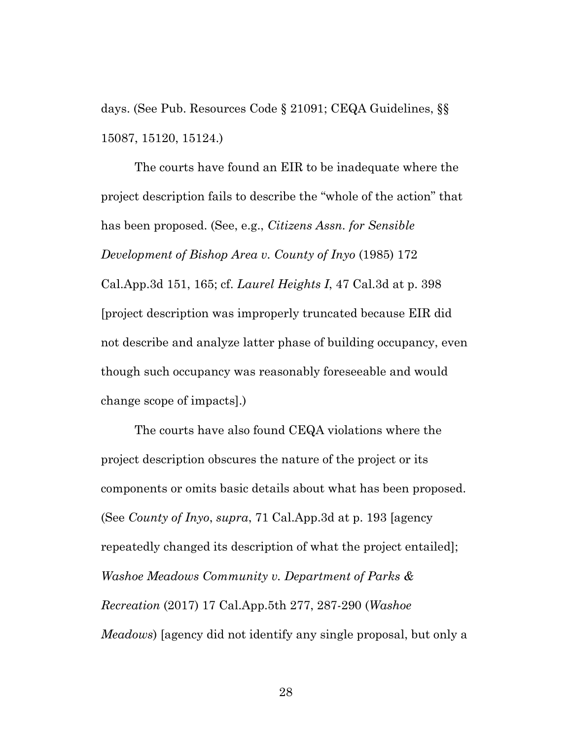days. (See Pub. Resources Code § 21091; CEQA Guidelines, §§ 15087, 15120, 15124.)

The courts have found an EIR to be inadequate where the project description fails to describe the "whole of the action" that has been proposed. (See, e.g., *Citizens Assn. for Sensible Development of Bishop Area v. County of Inyo* (1985) 172 Cal.App.3d 151, 165; cf. *Laurel Heights I*, 47 Cal.3d at p. 398 [project description was improperly truncated because EIR did not describe and analyze latter phase of building occupancy, even though such occupancy was reasonably foreseeable and would change scope of impacts].)

The courts have also found CEQA violations where the project description obscures the nature of the project or its components or omits basic details about what has been proposed. (See *County of Inyo*, *supra*, 71 Cal.App.3d at p. 193 [agency repeatedly changed its description of what the project entailed]; *Washoe Meadows Community v. Department of Parks & Recreation* (2017) 17 Cal.App.5th 277, 287-290 (*Washoe Meadows*) [agency did not identify any single proposal, but only a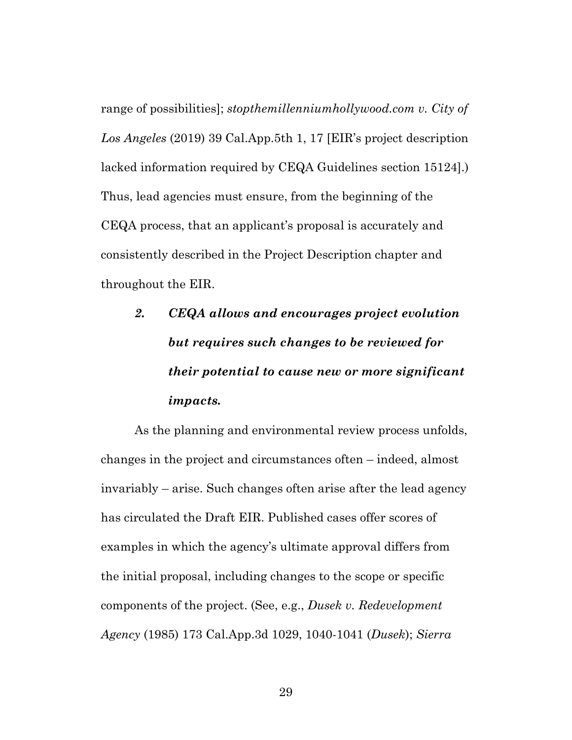range of possibilities]; *stopthemillenniumhollywood.com v. City of Los Angeles* (2019) 39 Cal.App.5th 1, 17 [EIR's project description lacked information required by CEQA Guidelines section 15124].) Thus, lead agencies must ensure, from the beginning of the CEQA process, that an applicant's proposal is accurately and consistently described in the Project Description chapter and throughout the EIR.

# *2. CEQA allows and encourages project evolution but requires such changes to be reviewed for their potential to cause new or more significant impacts.*

As the planning and environmental review process unfolds, changes in the project and circumstances often – indeed, almost invariably – arise. Such changes often arise after the lead agency has circulated the Draft EIR. Published cases offer scores of examples in which the agency's ultimate approval differs from the initial proposal, including changes to the scope or specific components of the project. (See, e.g., *Dusek v. Redevelopment Agency* (1985) 173 Cal.App.3d 1029, 1040-1041 (*Dusek*); *Sierra*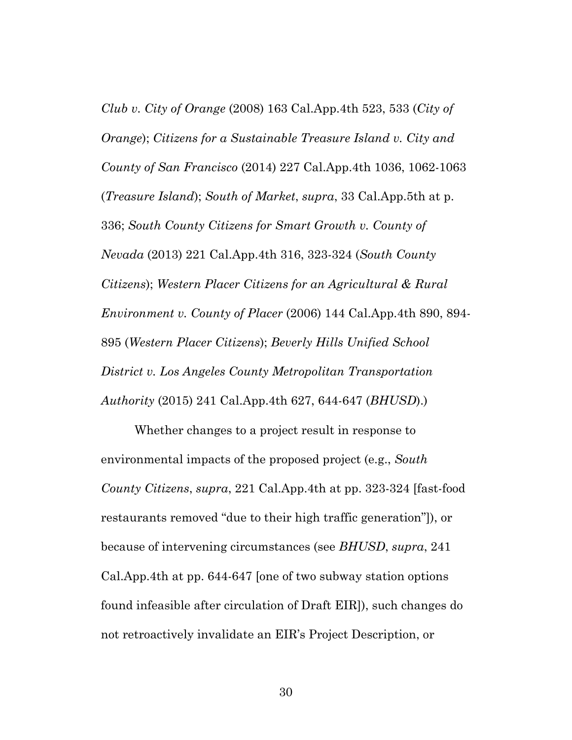*Club v. City of Orange* (2008) 163 Cal.App.4th 523, 533 (*City of Orange*); *Citizens for a Sustainable Treasure Island v. City and County of San Francisco* (2014) 227 Cal.App.4th 1036, 1062-1063 (*Treasure Island*); *South of Market*, *supra*, 33 Cal.App.5th at p. 336; *South County Citizens for Smart Growth v. County of Nevada* (2013) 221 Cal.App.4th 316, 323-324 (*South County Citizens*); *Western Placer Citizens for an Agricultural & Rural Environment v. County of Placer* (2006) 144 Cal.App.4th 890, 894- 895 (*Western Placer Citizens*); *Beverly Hills Unified School District v. Los Angeles County Metropolitan Transportation Authority* (2015) 241 Cal.App.4th 627, 644-647 (*BHUSD*).)

Whether changes to a project result in response to environmental impacts of the proposed project (e.g., *South County Citizens*, *supra*, 221 Cal.App.4th at pp. 323-324 [fast-food restaurants removed "due to their high traffic generation"]), or because of intervening circumstances (see *BHUSD*, *supra*, 241 Cal.App.4th at pp. 644-647 [one of two subway station options found infeasible after circulation of Draft EIR]), such changes do not retroactively invalidate an EIR's Project Description, or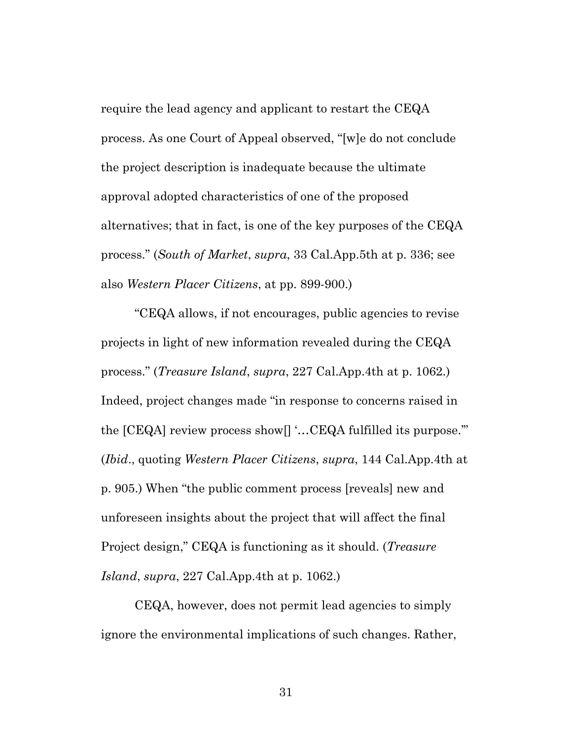require the lead agency and applicant to restart the CEQA process. As one Court of Appeal observed, "[w]e do not conclude the project description is inadequate because the ultimate approval adopted characteristics of one of the proposed alternatives; that in fact, is one of the key purposes of the CEQA process." (*South of Market*, *supra*, 33 Cal.App.5th at p. 336; see also *Western Placer Citizens*, at pp. 899-900.)

"CEQA allows, if not encourages, public agencies to revise projects in light of new information revealed during the CEQA process." (*Treasure Island*, *supra*, 227 Cal.App.4th at p. 1062.) Indeed, project changes made "in response to concerns raised in the [CEQA] review process show[] '…CEQA fulfilled its purpose.'" (*Ibid*., quoting *Western Placer Citizens*, *supra*, 144 Cal.App.4th at p. 905.) When "the public comment process [reveals] new and unforeseen insights about the project that will affect the final Project design," CEQA is functioning as it should. (*Treasure Island*, *supra*, 227 Cal.App.4th at p. 1062.)

CEQA, however, does not permit lead agencies to simply ignore the environmental implications of such changes. Rather,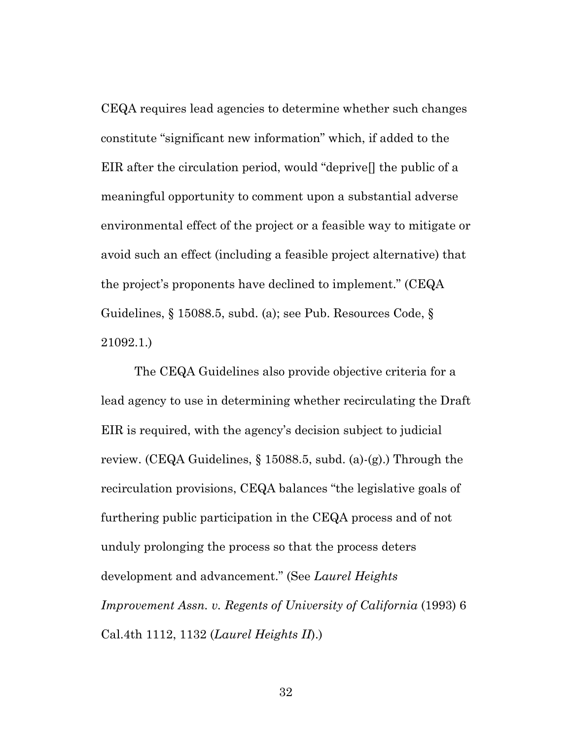CEQA requires lead agencies to determine whether such changes constitute "significant new information" which, if added to the EIR after the circulation period, would "deprive[] the public of a meaningful opportunity to comment upon a substantial adverse environmental effect of the project or a feasible way to mitigate or avoid such an effect (including a feasible project alternative) that the project's proponents have declined to implement." (CEQA Guidelines, § 15088.5, subd. (a); see Pub. Resources Code, § 21092.1.)

The CEQA Guidelines also provide objective criteria for a lead agency to use in determining whether recirculating the Draft EIR is required, with the agency's decision subject to judicial review. (CEQA Guidelines, § 15088.5, subd. (a)-(g).) Through the recirculation provisions, CEQA balances "the legislative goals of furthering public participation in the CEQA process and of not unduly prolonging the process so that the process deters development and advancement." (See *Laurel Heights Improvement Assn. v. Regents of University of California* (1993) 6 Cal.4th 1112, 1132 (*Laurel Heights II*).)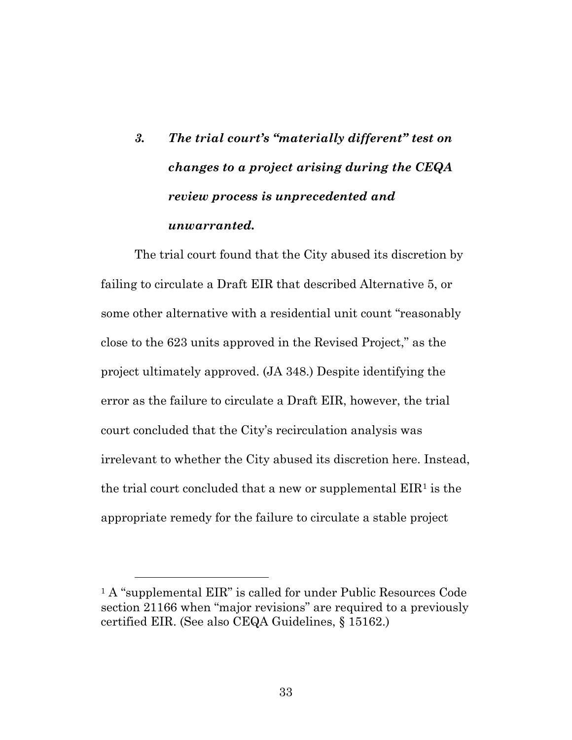# *3. The trial court's "materially different" test on changes to a project arising during the CEQA review process is unprecedented and unwarranted.*

The trial court found that the City abused its discretion by failing to circulate a Draft EIR that described Alternative 5, or some other alternative with a residential unit count "reasonably close to the 623 units approved in the Revised Project," as the project ultimately approved. (JA 348.) Despite identifying the error as the failure to circulate a Draft EIR, however, the trial court concluded that the City's recirculation analysis was irrelevant to whether the City abused its discretion here. Instead, the trial court concluded that a new or supplemental  $EIR<sup>1</sup>$  $EIR<sup>1</sup>$  $EIR<sup>1</sup>$  is the appropriate remedy for the failure to circulate a stable project

<span id="page-32-0"></span><sup>&</sup>lt;sup>1</sup> A "supplemental EIR" is called for under Public Resources Code section 21166 when "major revisions" are required to a previously certified EIR. (See also CEQA Guidelines, § 15162.)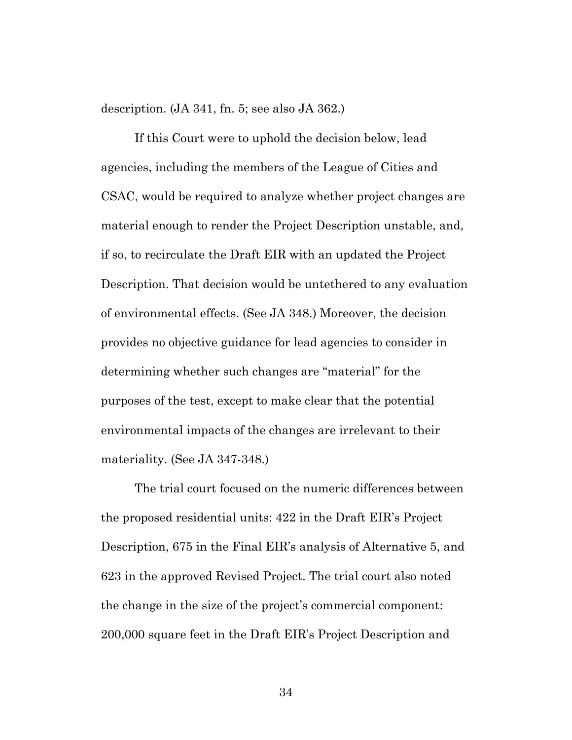description. (JA 341, fn. 5; see also JA 362.)

If this Court were to uphold the decision below, lead agencies, including the members of the League of Cities and CSAC, would be required to analyze whether project changes are material enough to render the Project Description unstable, and, if so, to recirculate the Draft EIR with an updated the Project Description. That decision would be untethered to any evaluation of environmental effects. (See JA 348.) Moreover, the decision provides no objective guidance for lead agencies to consider in determining whether such changes are "material" for the purposes of the test, except to make clear that the potential environmental impacts of the changes are irrelevant to their materiality. (See JA 347-348.)

The trial court focused on the numeric differences between the proposed residential units: 422 in the Draft EIR's Project Description, 675 in the Final EIR's analysis of Alternative 5, and 623 in the approved Revised Project. The trial court also noted the change in the size of the project's commercial component: 200,000 square feet in the Draft EIR's Project Description and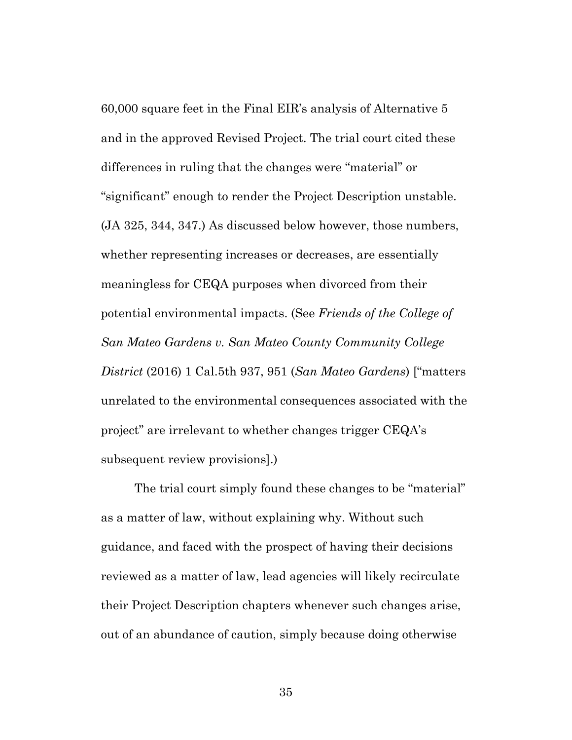60,000 square feet in the Final EIR's analysis of Alternative 5 and in the approved Revised Project. The trial court cited these differences in ruling that the changes were "material" or "significant" enough to render the Project Description unstable. (JA 325, 344, 347.) As discussed below however, those numbers, whether representing increases or decreases, are essentially meaningless for CEQA purposes when divorced from their potential environmental impacts. (See *Friends of the College of San Mateo Gardens v. San Mateo County Community College District* (2016) 1 Cal.5th 937, 951 (*San Mateo Gardens*) ["matters unrelated to the environmental consequences associated with the project" are irrelevant to whether changes trigger CEQA's subsequent review provisions].)

The trial court simply found these changes to be "material" as a matter of law, without explaining why. Without such guidance, and faced with the prospect of having their decisions reviewed as a matter of law, lead agencies will likely recirculate their Project Description chapters whenever such changes arise, out of an abundance of caution, simply because doing otherwise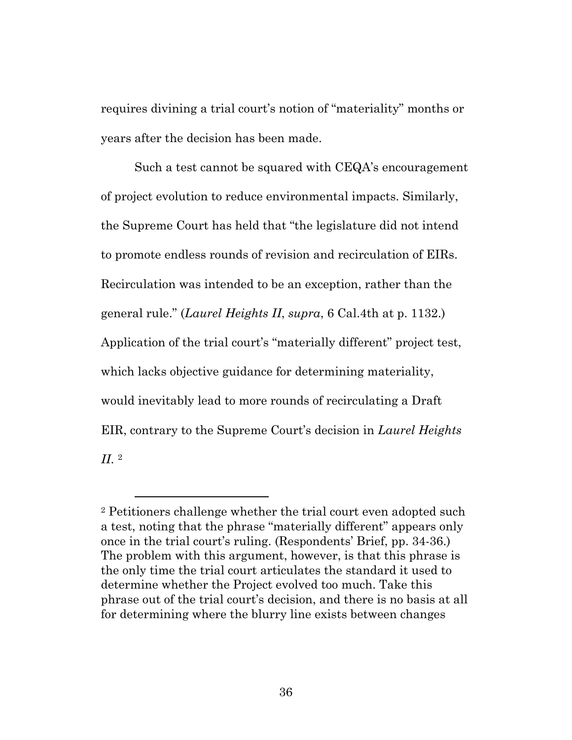requires divining a trial court's notion of "materiality" months or years after the decision has been made.

Such a test cannot be squared with CEQA's encouragement of project evolution to reduce environmental impacts. Similarly, the Supreme Court has held that "the legislature did not intend to promote endless rounds of revision and recirculation of EIRs. Recirculation was intended to be an exception, rather than the general rule." (*Laurel Heights II*, *supra*, 6 Cal.4th at p. 1132.) Application of the trial court's "materially different" project test, which lacks objective guidance for determining materiality, would inevitably lead to more rounds of recirculating a Draft EIR, contrary to the Supreme Court's decision in *Laurel Heights II*. [2](#page-35-0)

<span id="page-35-0"></span><sup>2</sup> Petitioners challenge whether the trial court even adopted such a test, noting that the phrase "materially different" appears only once in the trial court's ruling. (Respondents' Brief, pp. 34-36.) The problem with this argument, however, is that this phrase is the only time the trial court articulates the standard it used to determine whether the Project evolved too much. Take this phrase out of the trial court's decision, and there is no basis at all for determining where the blurry line exists between changes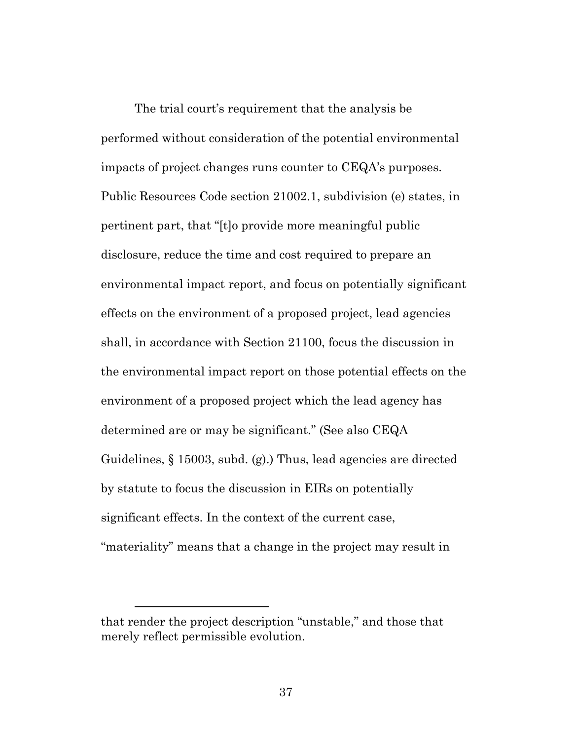The trial court's requirement that the analysis be performed without consideration of the potential environmental impacts of project changes runs counter to CEQA's purposes. Public Resources Code section 21002.1, subdivision (e) states, in pertinent part, that "[t]o provide more meaningful public disclosure, reduce the time and cost required to prepare an environmental impact report, and focus on potentially significant effects on the environment of a proposed project, lead agencies shall, in accordance with Section 21100, focus the discussion in the environmental impact report on those potential effects on the environment of a proposed project which the lead agency has determined are or may be significant." (See also CEQA Guidelines, § 15003, subd. (g).) Thus, lead agencies are directed by statute to focus the discussion in EIRs on potentially significant effects. In the context of the current case, "materiality" means that a change in the project may result in

that render the project description "unstable," and those that merely reflect permissible evolution.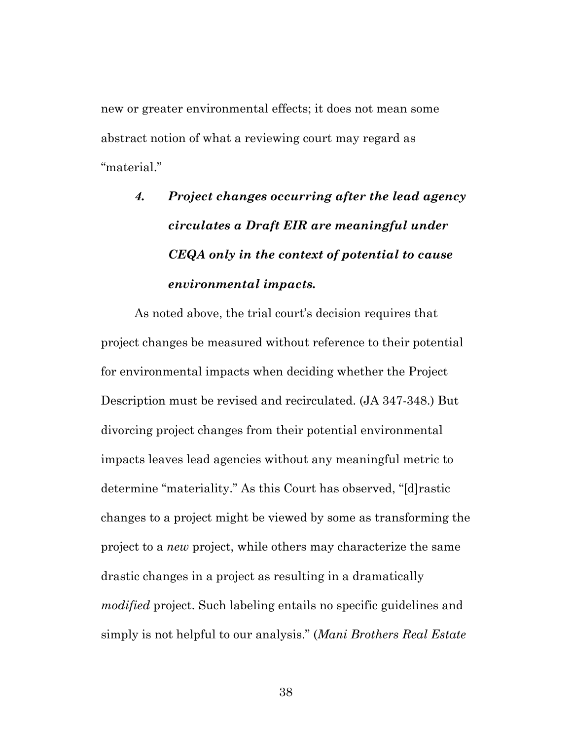new or greater environmental effects; it does not mean some abstract notion of what a reviewing court may regard as "material."

> *4. Project changes occurring after the lead agency circulates a Draft EIR are meaningful under CEQA only in the context of potential to cause environmental impacts.*

As noted above, the trial court's decision requires that project changes be measured without reference to their potential for environmental impacts when deciding whether the Project Description must be revised and recirculated. (JA 347-348.) But divorcing project changes from their potential environmental impacts leaves lead agencies without any meaningful metric to determine "materiality." As this Court has observed, "[d]rastic changes to a project might be viewed by some as transforming the project to a *new* project, while others may characterize the same drastic changes in a project as resulting in a dramatically *modified* project. Such labeling entails no specific guidelines and simply is not helpful to our analysis." (*Mani Brothers Real Estate*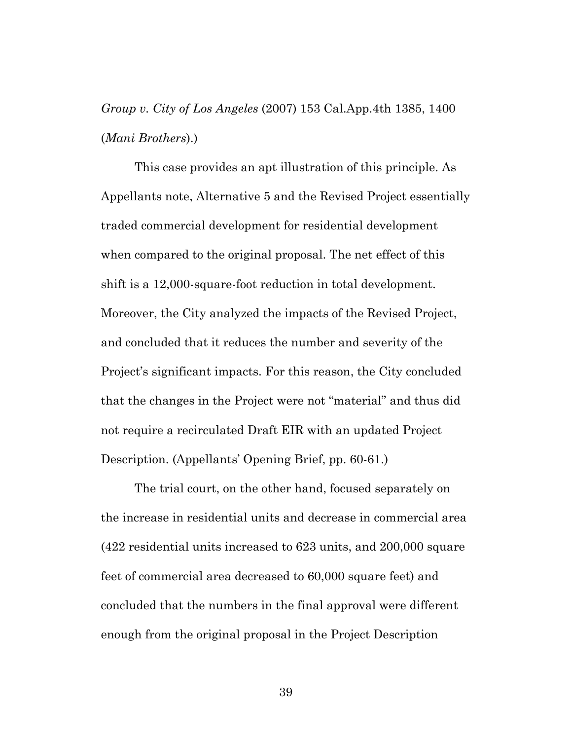## *Group v. City of Los Angeles* (2007) 153 Cal.App.4th 1385, 1400 (*Mani Brothers*).)

This case provides an apt illustration of this principle. As Appellants note, Alternative 5 and the Revised Project essentially traded commercial development for residential development when compared to the original proposal. The net effect of this shift is a 12,000-square-foot reduction in total development. Moreover, the City analyzed the impacts of the Revised Project, and concluded that it reduces the number and severity of the Project's significant impacts. For this reason, the City concluded that the changes in the Project were not "material" and thus did not require a recirculated Draft EIR with an updated Project Description. (Appellants' Opening Brief, pp. 60-61.)

The trial court, on the other hand, focused separately on the increase in residential units and decrease in commercial area (422 residential units increased to 623 units, and 200,000 square feet of commercial area decreased to 60,000 square feet) and concluded that the numbers in the final approval were different enough from the original proposal in the Project Description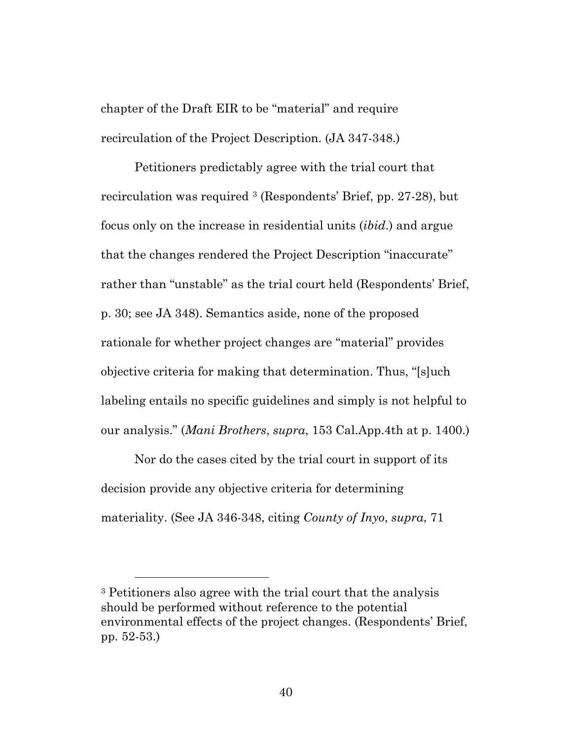chapter of the Draft EIR to be "material" and require recirculation of the Project Description. (JA 347-348.)

Petitioners predictably agree with the trial court that recirculation was required [3](#page-39-0) (Respondents' Brief, pp. 27-28), but focus only on the increase in residential units (*ibid*.) and argue that the changes rendered the Project Description "inaccurate" rather than "unstable" as the trial court held (Respondents' Brief, p. 30; see JA 348). Semantics aside, none of the proposed rationale for whether project changes are "material" provides objective criteria for making that determination. Thus, "[s]uch labeling entails no specific guidelines and simply is not helpful to our analysis." (*Mani Brothers*, *supra*, 153 Cal.App.4th at p. 1400.)

Nor do the cases cited by the trial court in support of its decision provide any objective criteria for determining materiality. (See JA 346-348, citing *County of Inyo*, *supra*, 71

<span id="page-39-0"></span><sup>3</sup> Petitioners also agree with the trial court that the analysis should be performed without reference to the potential environmental effects of the project changes. (Respondents' Brief, pp. 52-53.)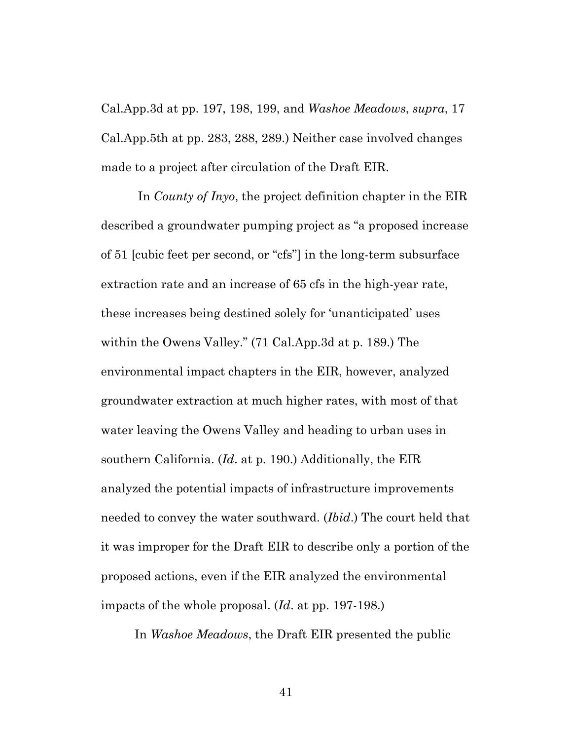Cal.App.3d at pp. 197, 198, 199, and *Washoe Meadows*, *supra*, 17 Cal.App.5th at pp. 283, 288, 289.) Neither case involved changes made to a project after circulation of the Draft EIR.

In *County of Inyo*, the project definition chapter in the EIR described a groundwater pumping project as "a proposed increase of 51 [cubic feet per second, or "cfs"] in the long-term subsurface extraction rate and an increase of 65 cfs in the high-year rate, these increases being destined solely for 'unanticipated' uses within the Owens Valley." (71 Cal.App.3d at p. 189.) The environmental impact chapters in the EIR, however, analyzed groundwater extraction at much higher rates, with most of that water leaving the Owens Valley and heading to urban uses in southern California. (*Id*. at p. 190.) Additionally, the EIR analyzed the potential impacts of infrastructure improvements needed to convey the water southward. (*Ibid*.) The court held that it was improper for the Draft EIR to describe only a portion of the proposed actions, even if the EIR analyzed the environmental impacts of the whole proposal. (*Id*. at pp. 197-198.)

In *Washoe Meadows*, the Draft EIR presented the public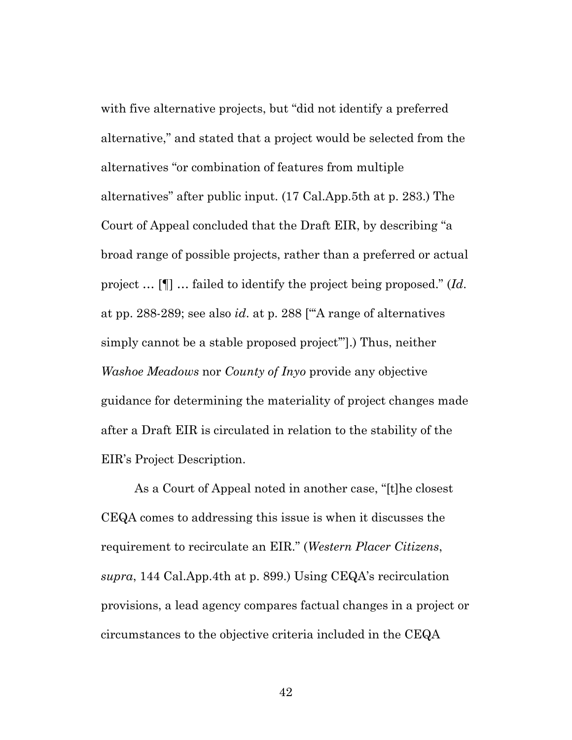with five alternative projects, but "did not identify a preferred alternative," and stated that a project would be selected from the alternatives "or combination of features from multiple alternatives" after public input. (17 Cal.App.5th at p. 283.) The Court of Appeal concluded that the Draft EIR, by describing "a broad range of possible projects, rather than a preferred or actual project … [¶] … failed to identify the project being proposed." (*Id*. at pp. 288-289; see also *id*. at p. 288 ["'A range of alternatives simply cannot be a stable proposed project'"].) Thus, neither *Washoe Meadows* nor *County of Inyo* provide any objective guidance for determining the materiality of project changes made after a Draft EIR is circulated in relation to the stability of the EIR's Project Description.

As a Court of Appeal noted in another case, "[t]he closest CEQA comes to addressing this issue is when it discusses the requirement to recirculate an EIR." (*Western Placer Citizens*, *supra*, 144 Cal.App.4th at p. 899.) Using CEQA's recirculation provisions, a lead agency compares factual changes in a project or circumstances to the objective criteria included in the CEQA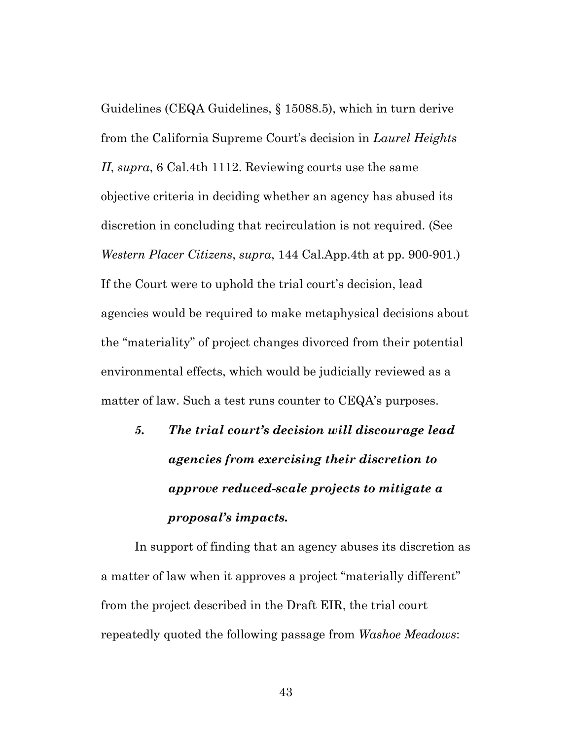Guidelines (CEQA Guidelines, § 15088.5), which in turn derive from the California Supreme Court's decision in *Laurel Heights II*, *supra*, 6 Cal.4th 1112. Reviewing courts use the same objective criteria in deciding whether an agency has abused its discretion in concluding that recirculation is not required. (See *Western Placer Citizens*, *supra*, 144 Cal.App.4th at pp. 900-901.) If the Court were to uphold the trial court's decision, lead agencies would be required to make metaphysical decisions about the "materiality" of project changes divorced from their potential environmental effects, which would be judicially reviewed as a matter of law. Such a test runs counter to CEQA's purposes.

*5. The trial court's decision will discourage lead agencies from exercising their discretion to approve reduced-scale projects to mitigate a proposal's impacts.*

In support of finding that an agency abuses its discretion as a matter of law when it approves a project "materially different" from the project described in the Draft EIR, the trial court repeatedly quoted the following passage from *Washoe Meadows*: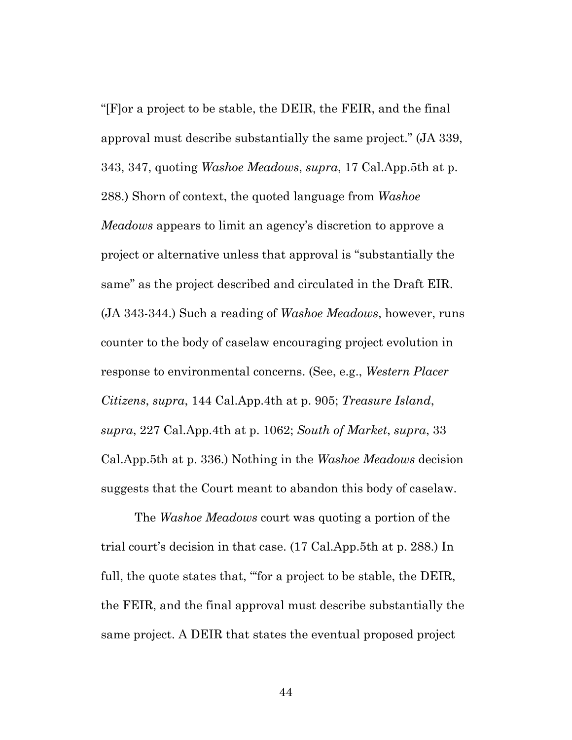"[F]or a project to be stable, the DEIR, the FEIR, and the final approval must describe substantially the same project." (JA 339, 343, 347, quoting *Washoe Meadows*, *supra*, 17 Cal.App.5th at p. 288.) Shorn of context, the quoted language from *Washoe Meadows* appears to limit an agency's discretion to approve a project or alternative unless that approval is "substantially the same" as the project described and circulated in the Draft EIR. (JA 343-344.) Such a reading of *Washoe Meadows*, however, runs counter to the body of caselaw encouraging project evolution in response to environmental concerns. (See, e.g., *Western Placer Citizens*, *supra*, 144 Cal.App.4th at p. 905; *Treasure Island*, *supra*, 227 Cal.App.4th at p. 1062; *South of Market*, *supra*, 33 Cal.App.5th at p. 336.) Nothing in the *Washoe Meadows* decision suggests that the Court meant to abandon this body of caselaw.

The *Washoe Meadows* court was quoting a portion of the trial court's decision in that case. (17 Cal.App.5th at p. 288.) In full, the quote states that, "'for a project to be stable, the DEIR, the FEIR, and the final approval must describe substantially the same project. A DEIR that states the eventual proposed project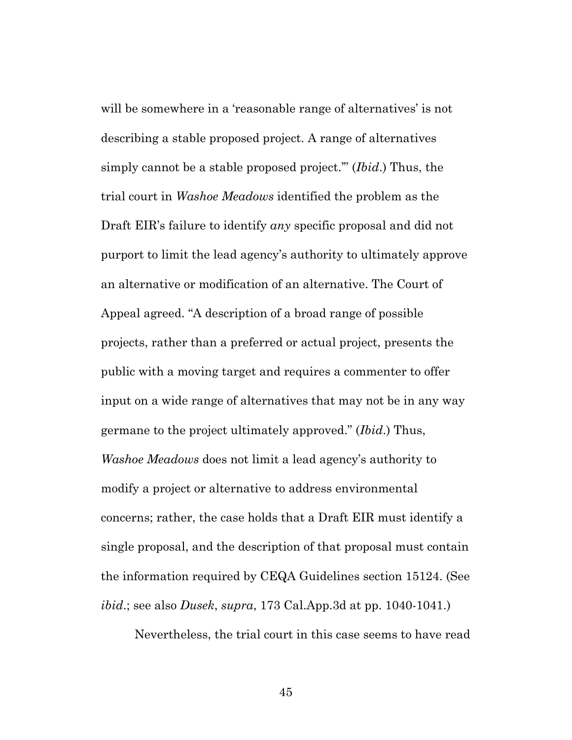will be somewhere in a 'reasonable range of alternatives' is not describing a stable proposed project. A range of alternatives simply cannot be a stable proposed project.'" (*Ibid*.) Thus, the trial court in *Washoe Meadows* identified the problem as the Draft EIR's failure to identify *any* specific proposal and did not purport to limit the lead agency's authority to ultimately approve an alternative or modification of an alternative. The Court of Appeal agreed. "A description of a broad range of possible projects, rather than a preferred or actual project, presents the public with a moving target and requires a commenter to offer input on a wide range of alternatives that may not be in any way germane to the project ultimately approved." (*Ibid*.) Thus, *Washoe Meadows* does not limit a lead agency's authority to modify a project or alternative to address environmental concerns; rather, the case holds that a Draft EIR must identify a single proposal, and the description of that proposal must contain the information required by CEQA Guidelines section 15124. (See *ibid*.; see also *Dusek*, *supra*, 173 Cal.App.3d at pp. 1040-1041.)

Nevertheless, the trial court in this case seems to have read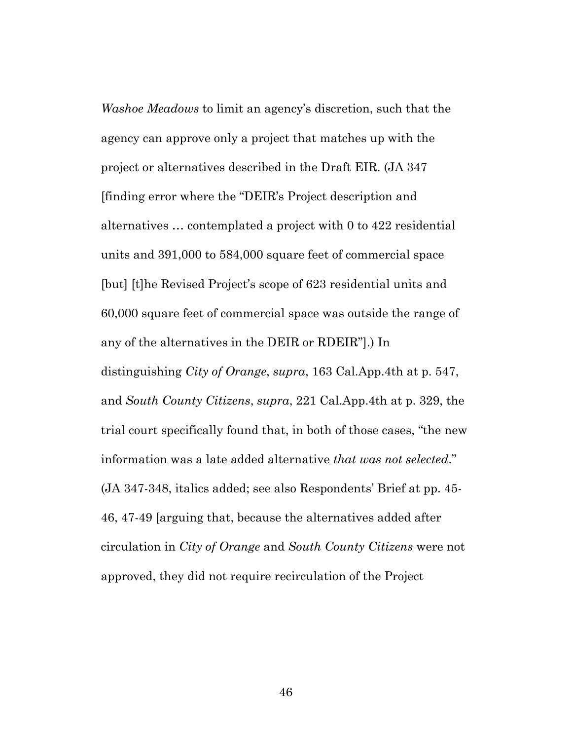*Washoe Meadows* to limit an agency's discretion, such that the agency can approve only a project that matches up with the project or alternatives described in the Draft EIR. (JA 347 [finding error where the "DEIR's Project description and alternatives … contemplated a project with 0 to 422 residential units and 391,000 to 584,000 square feet of commercial space [but] [t]he Revised Project's scope of 623 residential units and 60,000 square feet of commercial space was outside the range of any of the alternatives in the DEIR or RDEIR"].) In distinguishing *City of Orange*, *supra*, 163 Cal.App.4th at p. 547, and *South County Citizens*, *supra*, 221 Cal.App.4th at p. 329, the trial court specifically found that, in both of those cases, "the new information was a late added alternative *that was not selected*." (JA 347-348, italics added; see also Respondents' Brief at pp. 45- 46, 47-49 [arguing that, because the alternatives added after circulation in *City of Orange* and *South County Citizens* were not approved, they did not require recirculation of the Project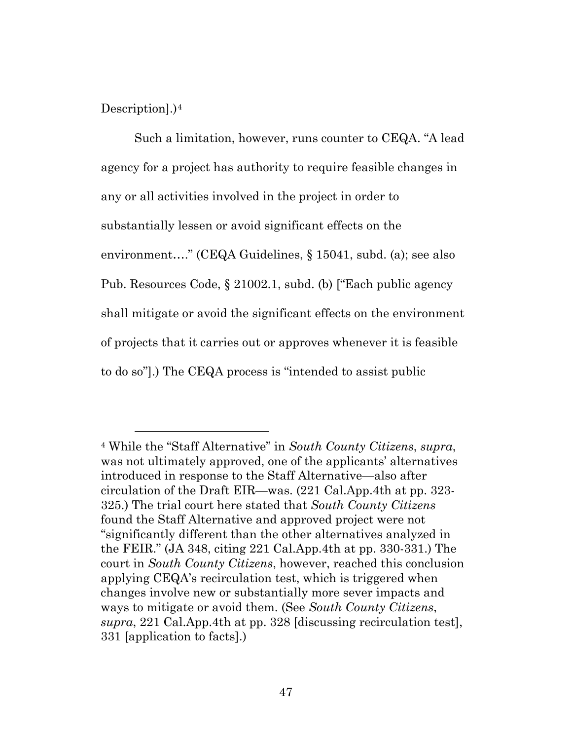Description].)[4](#page-46-0)

Such a limitation, however, runs counter to CEQA. "A lead agency for a project has authority to require feasible changes in any or all activities involved in the project in order to substantially lessen or avoid significant effects on the environment…." (CEQA Guidelines, § 15041, subd. (a); see also Pub. Resources Code, § 21002.1, subd. (b) ["Each public agency shall mitigate or avoid the significant effects on the environment of projects that it carries out or approves whenever it is feasible to do so"].) The CEQA process is "intended to assist public

<span id="page-46-0"></span><sup>4</sup> While the "Staff Alternative" in *South County Citizens*, *supra*, was not ultimately approved, one of the applicants' alternatives introduced in response to the Staff Alternative—also after circulation of the Draft EIR—was. (221 Cal.App.4th at pp. 323- 325.) The trial court here stated that *South County Citizens* found the Staff Alternative and approved project were not "significantly different than the other alternatives analyzed in the FEIR." (JA 348, citing 221 Cal.App.4th at pp. 330-331.) The court in *South County Citizens*, however, reached this conclusion applying CEQA's recirculation test, which is triggered when changes involve new or substantially more sever impacts and ways to mitigate or avoid them. (See *South County Citizens*, *supra*, 221 Cal.App.4th at pp. 328 [discussing recirculation test], 331 [application to facts].)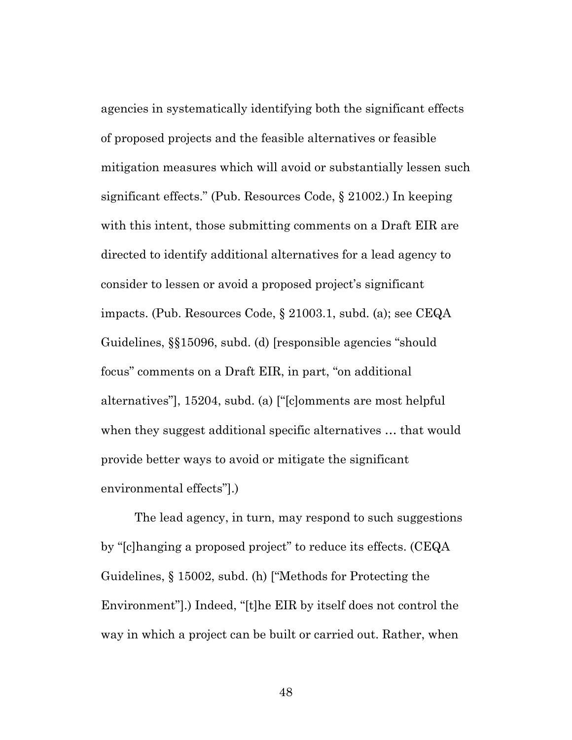agencies in systematically identifying both the significant effects of proposed projects and the feasible alternatives or feasible mitigation measures which will avoid or substantially lessen such significant effects." (Pub. Resources Code, § 21002.) In keeping with this intent, those submitting comments on a Draft EIR are directed to identify additional alternatives for a lead agency to consider to lessen or avoid a proposed project's significant impacts. (Pub. Resources Code, § 21003.1, subd. (a); see CEQA Guidelines, §§15096, subd. (d) [responsible agencies "should focus" comments on a Draft EIR, in part, "on additional alternatives"], 15204, subd. (a) ["[c]omments are most helpful when they suggest additional specific alternatives … that would provide better ways to avoid or mitigate the significant environmental effects"].)

The lead agency, in turn, may respond to such suggestions by "[c]hanging a proposed project" to reduce its effects. (CEQA Guidelines, § 15002, subd. (h) ["Methods for Protecting the Environment"].) Indeed, "[t]he EIR by itself does not control the way in which a project can be built or carried out. Rather, when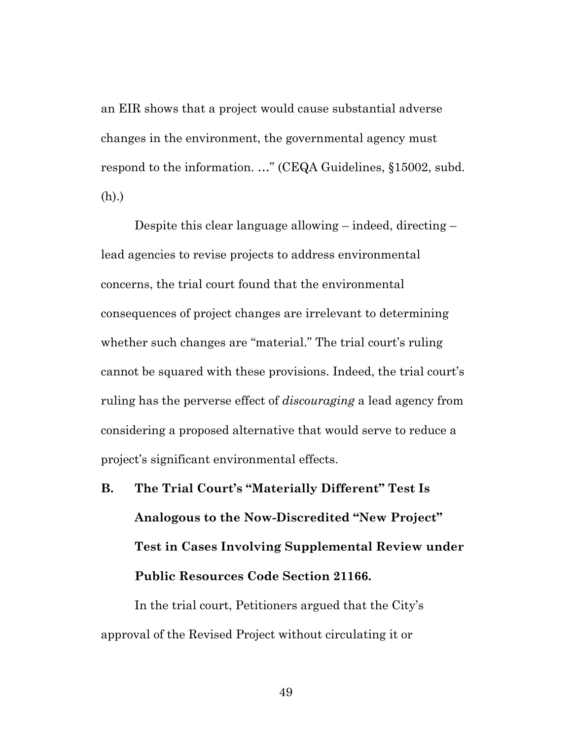an EIR shows that a project would cause substantial adverse changes in the environment, the governmental agency must respond to the information. …" (CEQA Guidelines, §15002, subd. (h).)

Despite this clear language allowing – indeed, directing – lead agencies to revise projects to address environmental concerns, the trial court found that the environmental consequences of project changes are irrelevant to determining whether such changes are "material." The trial court's ruling cannot be squared with these provisions. Indeed, the trial court's ruling has the perverse effect of *discouraging* a lead agency from considering a proposed alternative that would serve to reduce a project's significant environmental effects.

**B. The Trial Court's "Materially Different" Test Is Analogous to the Now-Discredited "New Project" Test in Cases Involving Supplemental Review under Public Resources Code Section 21166.**

In the trial court, Petitioners argued that the City's approval of the Revised Project without circulating it or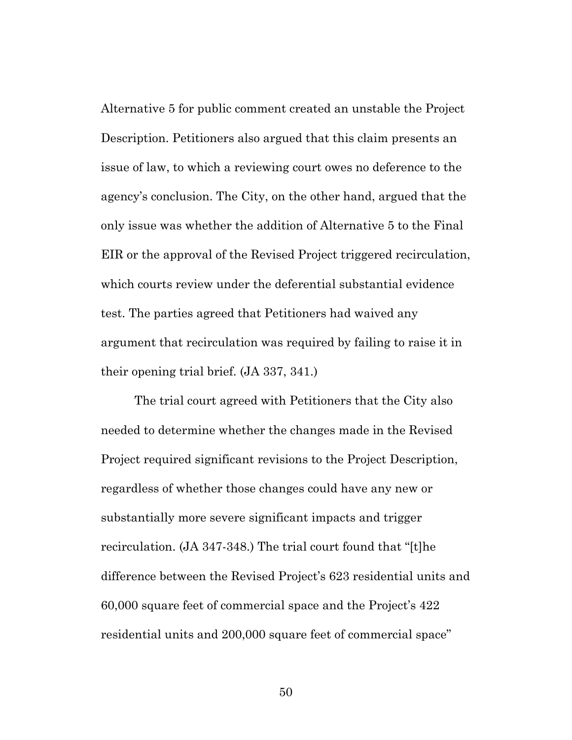Alternative 5 for public comment created an unstable the Project Description. Petitioners also argued that this claim presents an issue of law, to which a reviewing court owes no deference to the agency's conclusion. The City, on the other hand, argued that the only issue was whether the addition of Alternative 5 to the Final EIR or the approval of the Revised Project triggered recirculation, which courts review under the deferential substantial evidence test. The parties agreed that Petitioners had waived any argument that recirculation was required by failing to raise it in their opening trial brief. (JA 337, 341.)

The trial court agreed with Petitioners that the City also needed to determine whether the changes made in the Revised Project required significant revisions to the Project Description, regardless of whether those changes could have any new or substantially more severe significant impacts and trigger recirculation. (JA 347-348.) The trial court found that "[t]he difference between the Revised Project's 623 residential units and 60,000 square feet of commercial space and the Project's 422 residential units and 200,000 square feet of commercial space"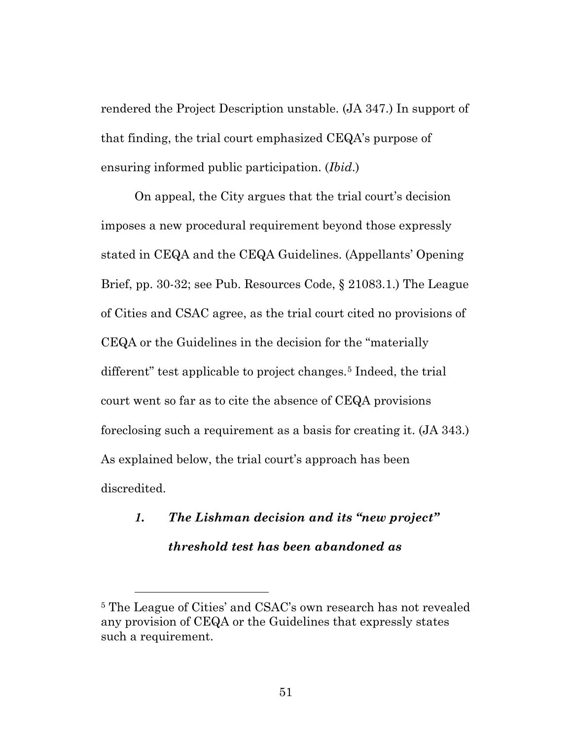rendered the Project Description unstable. (JA 347.) In support of that finding, the trial court emphasized CEQA's purpose of ensuring informed public participation. (*Ibid*.)

On appeal, the City argues that the trial court's decision imposes a new procedural requirement beyond those expressly stated in CEQA and the CEQA Guidelines. (Appellants' Opening Brief, pp. 30-32; see Pub. Resources Code, § 21083.1.) The League of Cities and CSAC agree, as the trial court cited no provisions of CEQA or the Guidelines in the decision for the "materially different" test applicable to project changes.<sup>[5](#page-50-0)</sup> Indeed, the trial court went so far as to cite the absence of CEQA provisions foreclosing such a requirement as a basis for creating it. (JA 343.) As explained below, the trial court's approach has been discredited.

# *1. The Lishman decision and its "new project" threshold test has been abandoned as*

<span id="page-50-0"></span><sup>5</sup> The League of Cities' and CSAC's own research has not revealed any provision of CEQA or the Guidelines that expressly states such a requirement.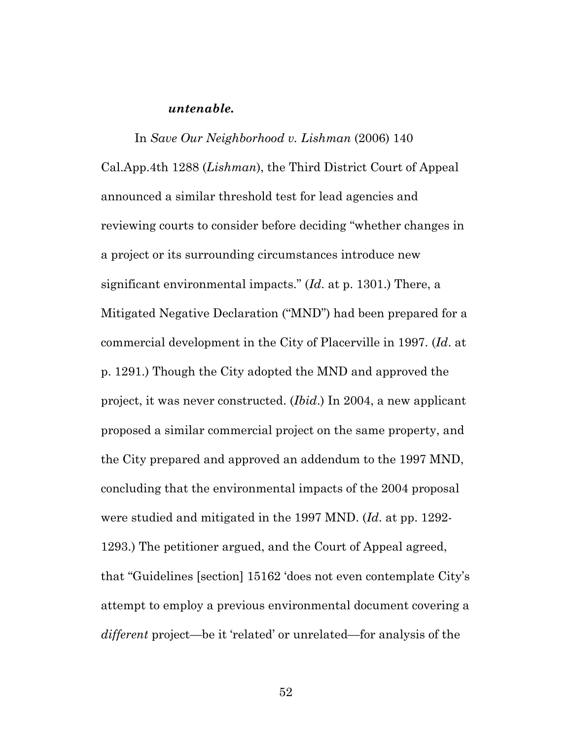#### *untenable.*

In *Save Our Neighborhood v. Lishman* (2006) 140 Cal.App.4th 1288 (*Lishman*), the Third District Court of Appeal announced a similar threshold test for lead agencies and reviewing courts to consider before deciding "whether changes in a project or its surrounding circumstances introduce new significant environmental impacts." (*Id*. at p. 1301.) There, a Mitigated Negative Declaration ("MND") had been prepared for a commercial development in the City of Placerville in 1997. (*Id*. at p. 1291.) Though the City adopted the MND and approved the project, it was never constructed. (*Ibid*.) In 2004, a new applicant proposed a similar commercial project on the same property, and the City prepared and approved an addendum to the 1997 MND, concluding that the environmental impacts of the 2004 proposal were studied and mitigated in the 1997 MND. (*Id*. at pp. 1292- 1293.) The petitioner argued, and the Court of Appeal agreed, that "Guidelines [section] 15162 'does not even contemplate City's attempt to employ a previous environmental document covering a *different* project—be it 'related' or unrelated—for analysis of the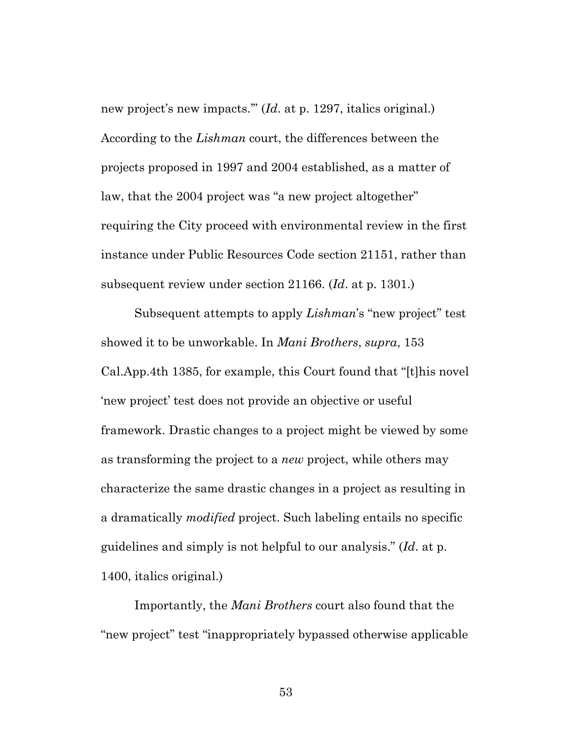new project's new impacts.'" (*Id*. at p. 1297, italics original.) According to the *Lishman* court, the differences between the projects proposed in 1997 and 2004 established, as a matter of law, that the 2004 project was "a new project altogether" requiring the City proceed with environmental review in the first instance under Public Resources Code section 21151, rather than subsequent review under section 21166. (*Id*. at p. 1301.)

Subsequent attempts to apply *Lishman*'s "new project" test showed it to be unworkable. In *Mani Brothers*, *supra*, 153 Cal.App.4th 1385, for example, this Court found that "[t]his novel 'new project' test does not provide an objective or useful framework. Drastic changes to a project might be viewed by some as transforming the project to a *new* project, while others may characterize the same drastic changes in a project as resulting in a dramatically *modified* project. Such labeling entails no specific guidelines and simply is not helpful to our analysis." (*Id*. at p. 1400, italics original.)

Importantly, the *Mani Brothers* court also found that the "new project" test "inappropriately bypassed otherwise applicable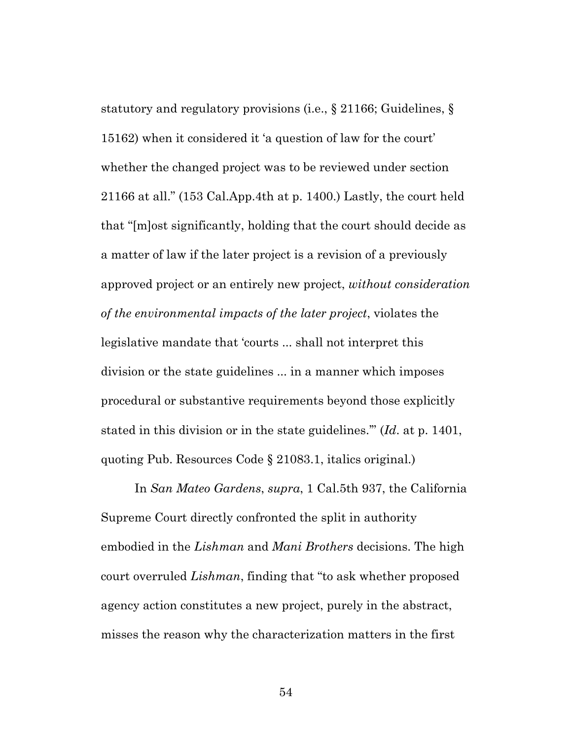statutory and regulatory provisions (i.e., § 21166; Guidelines, § 15162) when it considered it 'a question of law for the court' whether the changed project was to be reviewed under section 21166 at all." (153 Cal.App.4th at p. 1400.) Lastly, the court held that "[m]ost significantly, holding that the court should decide as a matter of law if the later project is a revision of a previously approved project or an entirely new project, *without consideration of the environmental impacts of the later project*, violates the legislative mandate that 'courts ... shall not interpret this division or the state guidelines ... in a manner which imposes procedural or substantive requirements beyond those explicitly stated in this division or in the state guidelines.'" (*Id*. at p. 1401, quoting Pub. Resources Code § 21083.1, italics original.)

In *San Mateo Gardens*, *supra*, 1 Cal.5th 937, the California Supreme Court directly confronted the split in authority embodied in the *Lishman* and *Mani Brothers* decisions. The high court overruled *Lishman*, finding that "to ask whether proposed agency action constitutes a new project, purely in the abstract, misses the reason why the characterization matters in the first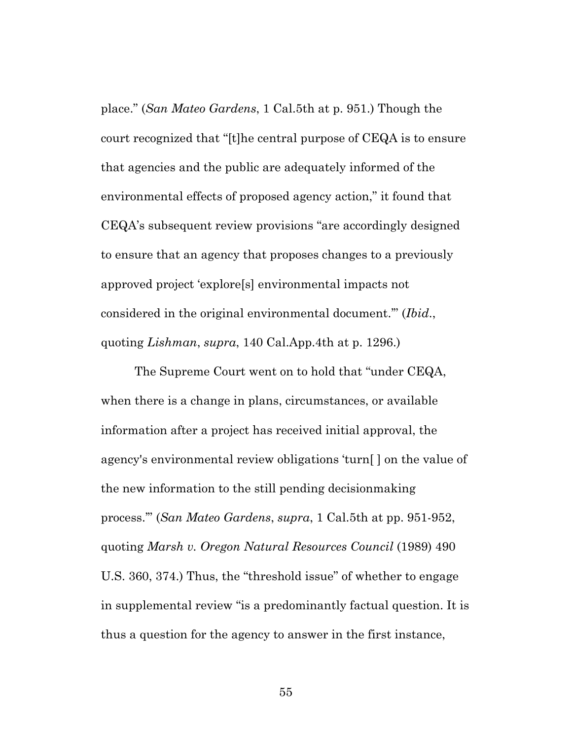place." (*San Mateo Gardens*, 1 Cal.5th at p. 951.) Though the court recognized that "[t]he central purpose of CEQA is to ensure that agencies and the public are adequately informed of the environmental effects of proposed agency action," it found that CEQA's subsequent review provisions "are accordingly designed to ensure that an agency that proposes changes to a previously approved project 'explore[s] environmental impacts not considered in the original environmental document.'" (*Ibid*., quoting *Lishman*, *supra*, 140 Cal.App.4th at p. 1296.)

The Supreme Court went on to hold that "under CEQA, when there is a change in plans, circumstances, or available information after a project has received initial approval, the agency's environmental review obligations 'turn[ ] on the value of the new information to the still pending decisionmaking process.'" (*San Mateo Gardens*, *supra*, 1 Cal.5th at pp. 951-952, quoting *Marsh v. Oregon Natural Resources Council* (1989) 490 U.S. 360, 374.) Thus, the "threshold issue" of whether to engage in supplemental review "is a predominantly factual question. It is thus a question for the agency to answer in the first instance,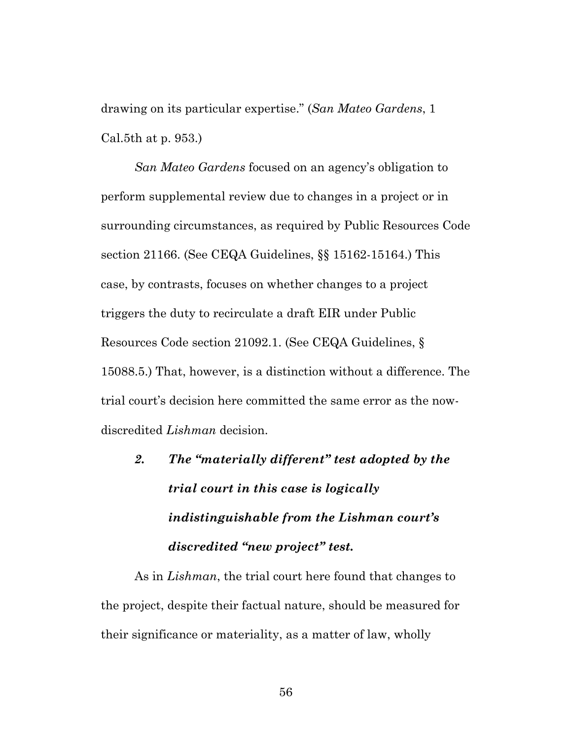drawing on its particular expertise." (*San Mateo Gardens*, 1 Cal.5th at p. 953.)

*San Mateo Gardens* focused on an agency's obligation to perform supplemental review due to changes in a project or in surrounding circumstances, as required by Public Resources Code section 21166. (See CEQA Guidelines, §§ 15162-15164.) This case, by contrasts, focuses on whether changes to a project triggers the duty to recirculate a draft EIR under Public Resources Code section 21092.1. (See CEQA Guidelines, § 15088.5.) That, however, is a distinction without a difference. The trial court's decision here committed the same error as the nowdiscredited *Lishman* decision.

*2. The "materially different" test adopted by the trial court in this case is logically indistinguishable from the Lishman court's discredited "new project" test.*

As in *Lishman*, the trial court here found that changes to the project, despite their factual nature, should be measured for their significance or materiality, as a matter of law, wholly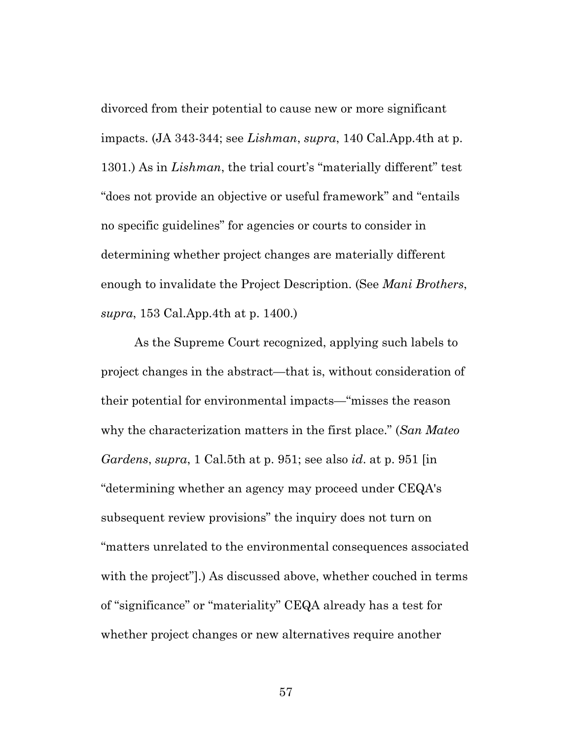divorced from their potential to cause new or more significant impacts. (JA 343-344; see *Lishman*, *supra*, 140 Cal.App.4th at p. 1301.) As in *Lishman*, the trial court's "materially different" test "does not provide an objective or useful framework" and "entails no specific guidelines" for agencies or courts to consider in determining whether project changes are materially different enough to invalidate the Project Description. (See *Mani Brothers*, *supra*, 153 Cal.App.4th at p. 1400.)

As the Supreme Court recognized, applying such labels to project changes in the abstract—that is, without consideration of their potential for environmental impacts—"misses the reason why the characterization matters in the first place." (*San Mateo Gardens*, *supra*, 1 Cal.5th at p. 951; see also *id*. at p. 951 [in "determining whether an agency may proceed under CEQA's subsequent review provisions" the inquiry does not turn on "matters unrelated to the environmental consequences associated with the project"].) As discussed above, whether couched in terms of "significance" or "materiality" CEQA already has a test for whether project changes or new alternatives require another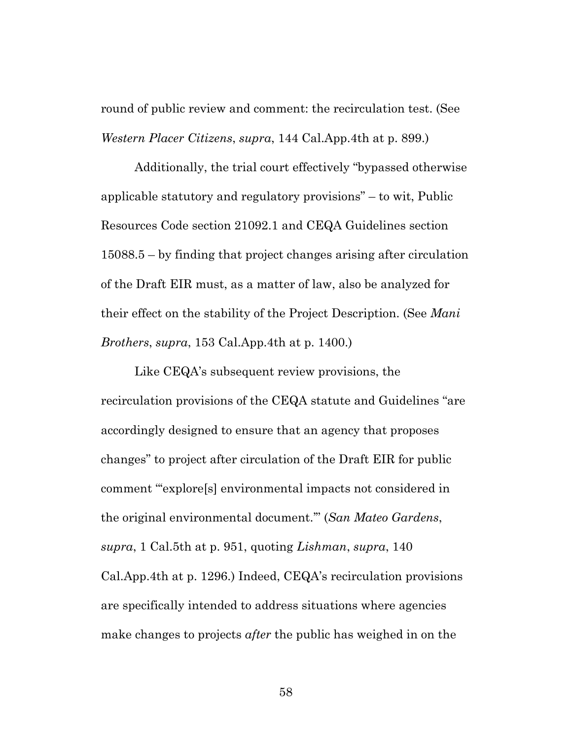round of public review and comment: the recirculation test. (See *Western Placer Citizens*, *supra*, 144 Cal.App.4th at p. 899.)

Additionally, the trial court effectively "bypassed otherwise applicable statutory and regulatory provisions" – to wit, Public Resources Code section 21092.1 and CEQA Guidelines section 15088.5 – by finding that project changes arising after circulation of the Draft EIR must, as a matter of law, also be analyzed for their effect on the stability of the Project Description. (See *Mani Brothers*, *supra*, 153 Cal.App.4th at p. 1400.)

Like CEQA's subsequent review provisions, the recirculation provisions of the CEQA statute and Guidelines "are accordingly designed to ensure that an agency that proposes changes" to project after circulation of the Draft EIR for public comment "'explore[s] environmental impacts not considered in the original environmental document.'" (*San Mateo Gardens*, *supra*, 1 Cal.5th at p. 951, quoting *Lishman*, *supra*, 140 Cal.App.4th at p. 1296.) Indeed, CEQA's recirculation provisions are specifically intended to address situations where agencies make changes to projects *after* the public has weighed in on the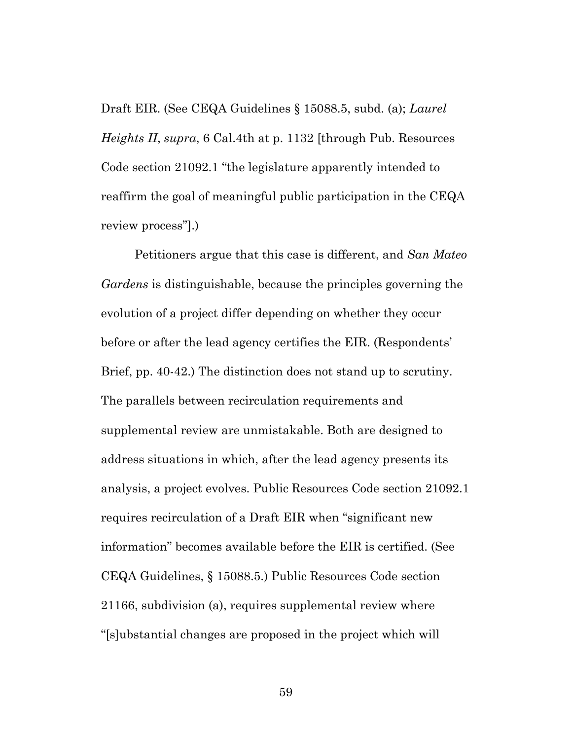Draft EIR. (See CEQA Guidelines § 15088.5, subd. (a); *Laurel Heights II*, *supra*, 6 Cal.4th at p. 1132 [through Pub. Resources Code section 21092.1 "the legislature apparently intended to reaffirm the goal of meaningful public participation in the CEQA review process"].)

Petitioners argue that this case is different, and *San Mateo Gardens* is distinguishable, because the principles governing the evolution of a project differ depending on whether they occur before or after the lead agency certifies the EIR. (Respondents' Brief, pp. 40-42.) The distinction does not stand up to scrutiny. The parallels between recirculation requirements and supplemental review are unmistakable. Both are designed to address situations in which, after the lead agency presents its analysis, a project evolves. Public Resources Code section 21092.1 requires recirculation of a Draft EIR when "significant new information" becomes available before the EIR is certified. (See CEQA Guidelines, § 15088.5.) Public Resources Code section 21166, subdivision (a), requires supplemental review where "[s]ubstantial changes are proposed in the project which will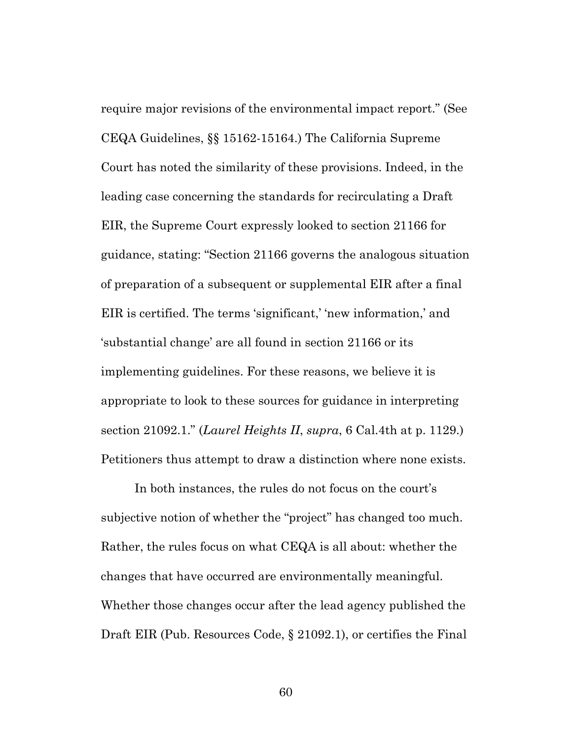require major revisions of the environmental impact report." (See CEQA Guidelines, §§ 15162-15164.) The California Supreme Court has noted the similarity of these provisions. Indeed, in the leading case concerning the standards for recirculating a Draft EIR, the Supreme Court expressly looked to section 21166 for guidance, stating: "Section 21166 governs the analogous situation of preparation of a subsequent or supplemental EIR after a final EIR is certified. The terms 'significant,' 'new information,' and 'substantial change' are all found in section 21166 or its implementing guidelines. For these reasons, we believe it is appropriate to look to these sources for guidance in interpreting section 21092.1." (*Laurel Heights II*, *supra*, 6 Cal.4th at p. 1129.) Petitioners thus attempt to draw a distinction where none exists.

In both instances, the rules do not focus on the court's subjective notion of whether the "project" has changed too much. Rather, the rules focus on what CEQA is all about: whether the changes that have occurred are environmentally meaningful. Whether those changes occur after the lead agency published the Draft EIR (Pub. Resources Code, § 21092.1), or certifies the Final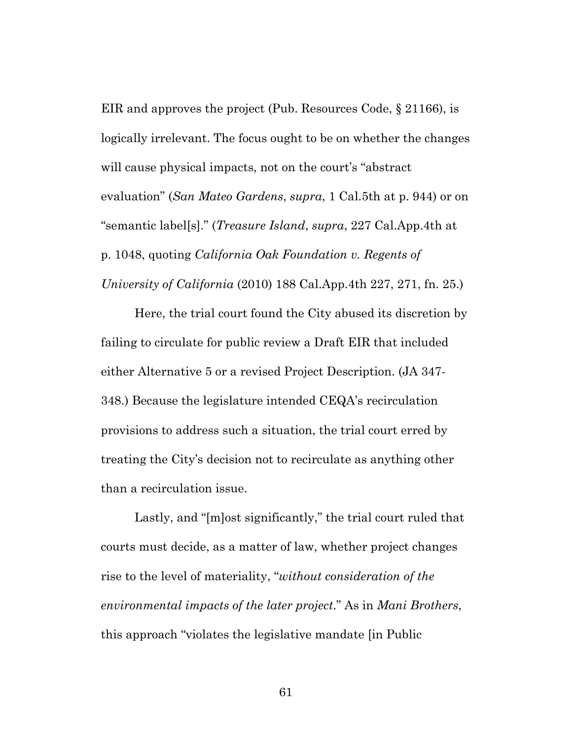EIR and approves the project (Pub. Resources Code, § 21166), is logically irrelevant. The focus ought to be on whether the changes will cause physical impacts, not on the court's "abstract" evaluation" (*San Mateo Gardens*, *supra*, 1 Cal.5th at p. 944) or on "semantic label[s]." (*Treasure Island*, *supra*, 227 Cal.App.4th at p. 1048, quoting *California Oak Foundation v. Regents of University of California* (2010) 188 Cal.App.4th 227, 271, fn. 25.)

Here, the trial court found the City abused its discretion by failing to circulate for public review a Draft EIR that included either Alternative 5 or a revised Project Description. (JA 347- 348.) Because the legislature intended CEQA's recirculation provisions to address such a situation, the trial court erred by treating the City's decision not to recirculate as anything other than a recirculation issue.

Lastly, and "[m]ost significantly," the trial court ruled that courts must decide, as a matter of law, whether project changes rise to the level of materiality, "*without consideration of the environmental impacts of the later project*." As in *Mani Brothers*, this approach "violates the legislative mandate [in Public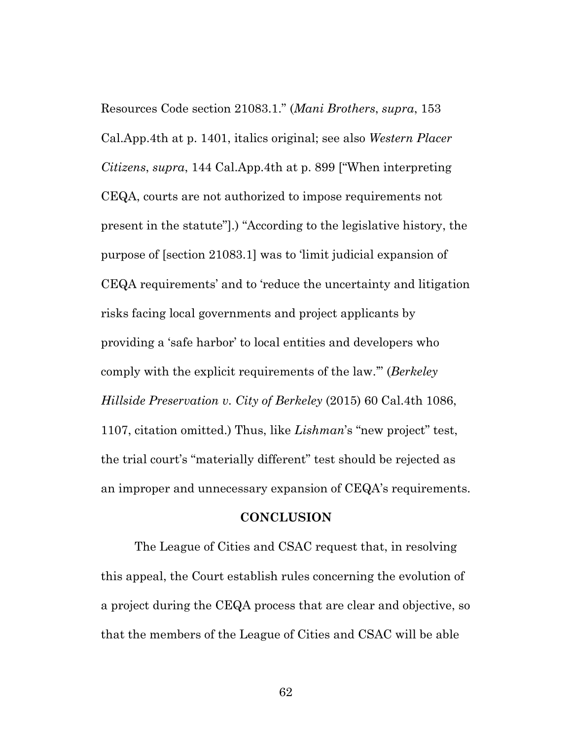Resources Code section 21083.1." (*Mani Brothers*, *supra*, 153 Cal.App.4th at p. 1401, italics original; see also *Western Placer Citizens*, *supra*, 144 Cal.App.4th at p. 899 ["When interpreting CEQA, courts are not authorized to impose requirements not present in the statute"].) "According to the legislative history, the purpose of [section 21083.1] was to 'limit judicial expansion of CEQA requirements' and to 'reduce the uncertainty and litigation risks facing local governments and project applicants by providing a 'safe harbor' to local entities and developers who comply with the explicit requirements of the law.'" (*Berkeley Hillside Preservation v. City of Berkeley* (2015) 60 Cal.4th 1086, 1107, citation omitted.) Thus, like *Lishman*'s "new project" test, the trial court's "materially different" test should be rejected as an improper and unnecessary expansion of CEQA's requirements.

#### **CONCLUSION**

The League of Cities and CSAC request that, in resolving this appeal, the Court establish rules concerning the evolution of a project during the CEQA process that are clear and objective, so that the members of the League of Cities and CSAC will be able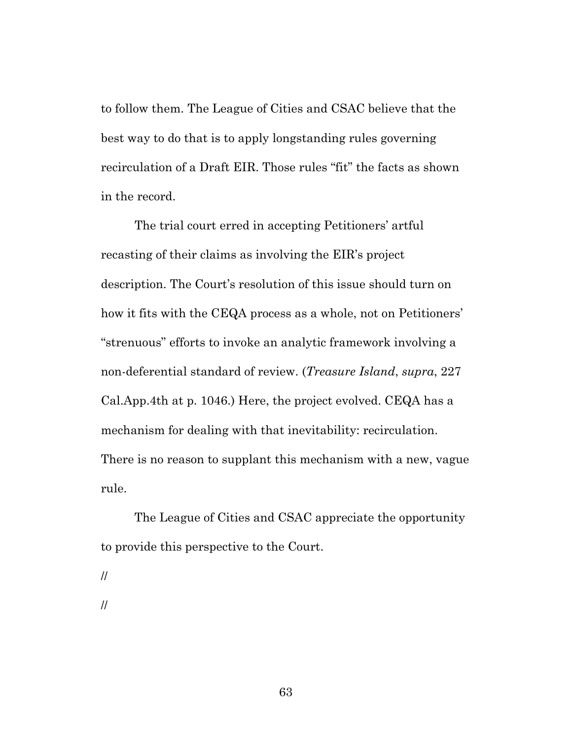to follow them. The League of Cities and CSAC believe that the best way to do that is to apply longstanding rules governing recirculation of a Draft EIR. Those rules "fit" the facts as shown in the record.

The trial court erred in accepting Petitioners' artful recasting of their claims as involving the EIR's project description. The Court's resolution of this issue should turn on how it fits with the CEQA process as a whole, not on Petitioners' "strenuous" efforts to invoke an analytic framework involving a non-deferential standard of review. (*Treasure Island*, *supra*, 227 Cal.App.4th at p. 1046.) Here, the project evolved. CEQA has a mechanism for dealing with that inevitability: recirculation. There is no reason to supplant this mechanism with a new, vague rule.

The League of Cities and CSAC appreciate the opportunity to provide this perspective to the Court.

//

//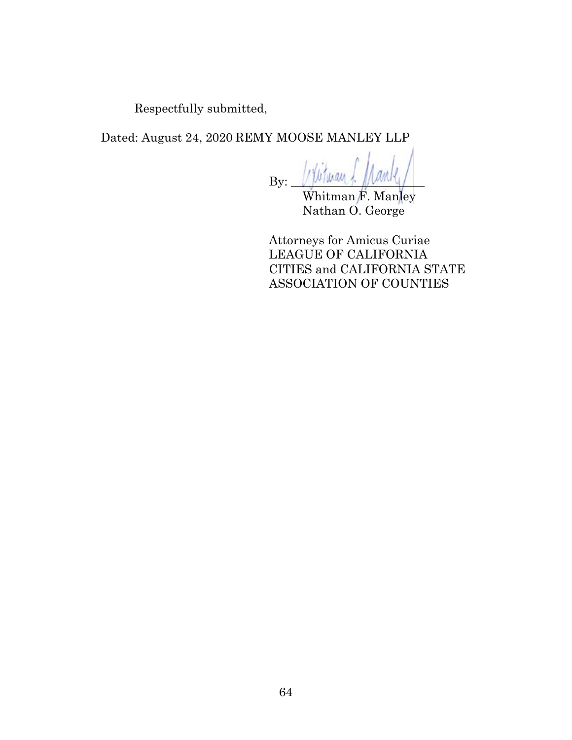Respectfully submitted,

Dated: August 24, 2020 REMY MOOSE MANLEY LLP

 $By:$   $\sqrt{\frac{1}{2}b^2}$  way

Whitman F. Manley Nathan O. George

Attorneys for Amicus Curiae LEAGUE OF CALIFORNIA CITIES and CALIFORNIA STATE ASSOCIATION OF COUNTIES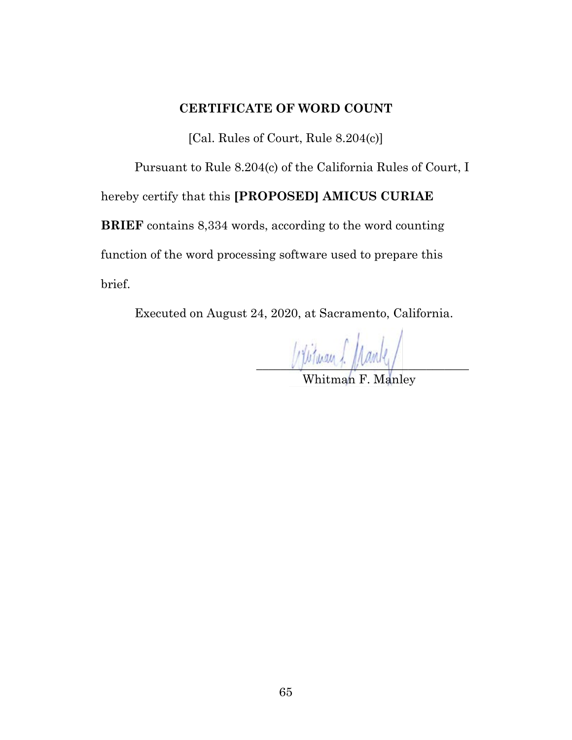#### **CERTIFICATE OF WORD COUNT**

[Cal. Rules of Court, Rule 8.204(c)]

Pursuant to Rule 8.204(c) of the California Rules of Court, I

hereby certify that this **[PROPOSED] AMICUS CURIAE** 

**BRIEF** contains 8,334 words, according to the word counting function of the word processing software used to prepare this brief.

Executed on August 24, 2020, at Sacramento, California.

Utitwan f. Manley

Whitman F. Manley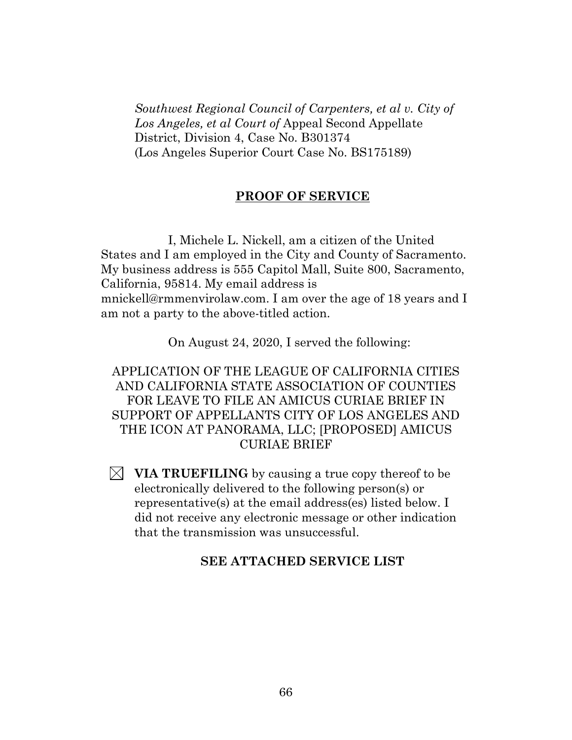*Southwest Regional Council of Carpenters, et al v. City of Los Angeles, et al Court of* Appeal Second Appellate District, Division 4, Case No. B301374 (Los Angeles Superior Court Case No. BS175189)

#### **PROOF OF SERVICE**

I, Michele L. Nickell, am a citizen of the United States and I am employed in the City and County of Sacramento. My business address is 555 Capitol Mall, Suite 800, Sacramento, California, 95814. My email address is mnickell@rmmenvirolaw.com. I am over the age of 18 years and I am not a party to the above-titled action.

On August 24, 2020, I served the following:

APPLICATION OF THE LEAGUE OF CALIFORNIA CITIES AND CALIFORNIA STATE ASSOCIATION OF COUNTIES FOR LEAVE TO FILE AN AMICUS CURIAE BRIEF IN SUPPORT OF APPELLANTS CITY OF LOS ANGELES AND THE ICON AT PANORAMA, LLC; [PROPOSED] AMICUS CURIAE BRIEF

 $\boxtimes$  **VIA TRUEFILING** by causing a true copy thereof to be electronically delivered to the following person(s) or representative(s) at the email address(es) listed below. I did not receive any electronic message or other indication that the transmission was unsuccessful.

#### **SEE ATTACHED SERVICE LIST**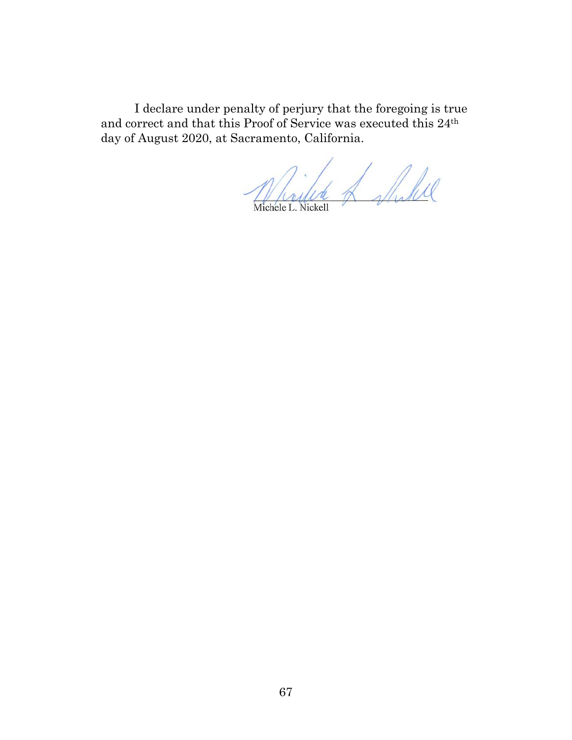I declare under penalty of perjury that the foregoing is true and correct and that this Proof of Service was executed this 24th day of August 2020, at Sacramento, California.

Michele E. Nickell